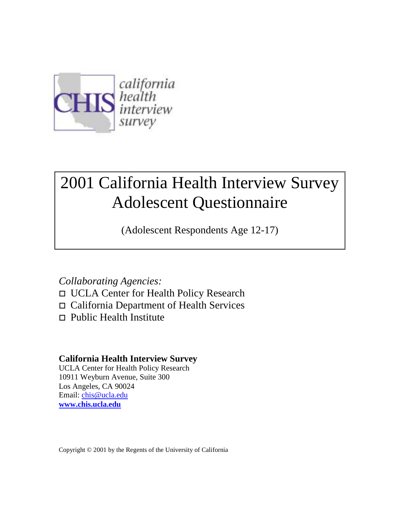

# 2001 California Health Interview Survey Adolescent Questionnaire

(Adolescent Respondents Age 12-17)

## *Collaborating Agencies:*

- □ UCLA Center for Health Policy Research
- □ California Department of Health Services
- $\Box$  Public Health Institute

## **California Health Interview Survey**

UCLA Center for Health Policy Research 10911 Weyburn Avenue, Suite 300 Los Angeles, CA 90024 Email: chis@ucla.edu **www.chis.ucla.edu**

Copyright © 2001 by the Regents of the University of California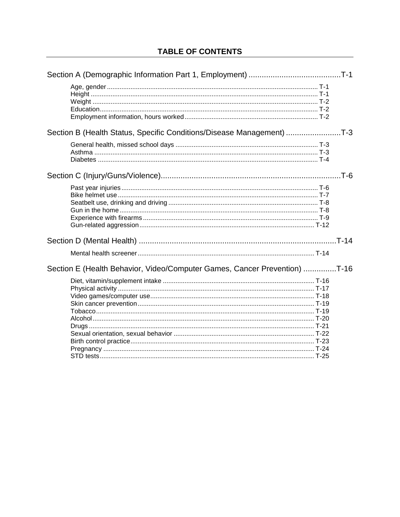| Section B (Health Status, Specific Conditions/Disease Management) T-3     |  |
|---------------------------------------------------------------------------|--|
|                                                                           |  |
|                                                                           |  |
|                                                                           |  |
|                                                                           |  |
| Section E (Health Behavior, Video/Computer Games, Cancer Prevention) T-16 |  |
|                                                                           |  |
|                                                                           |  |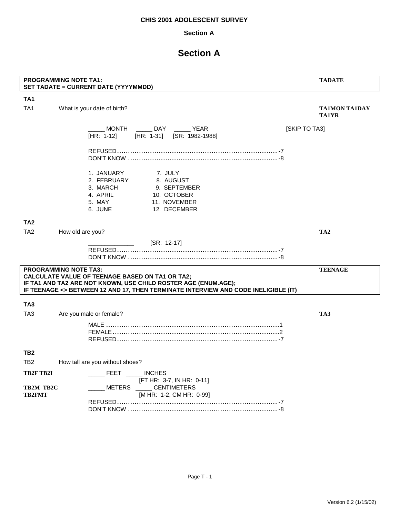### **Section A**

## **Section A**

|                                         | <b>PROGRAMMING NOTE TA1:</b><br>SET TADATE = CURRENT DATE (YYYYMMDD)                                                                                                                                                                           | <b>TADATE</b>                        |
|-----------------------------------------|------------------------------------------------------------------------------------------------------------------------------------------------------------------------------------------------------------------------------------------------|--------------------------------------|
| TA <sub>1</sub>                         |                                                                                                                                                                                                                                                |                                      |
| TA <sub>1</sub>                         | What is your date of birth?                                                                                                                                                                                                                    | <b>TA1MON TA1DAY</b><br><b>TA1YR</b> |
|                                         | MONTH _______ DAY _______ YEAR<br>[HR: 1-31] [SR: 1982-1988]<br>$[HR: 1-12]$                                                                                                                                                                   | [SKIP TO TA3]                        |
|                                         |                                                                                                                                                                                                                                                |                                      |
|                                         | 1. JANUARY<br>7. JULY<br>8. AUGUST<br>2. FEBRUARY<br>3. MARCH<br>9. SEPTEMBER<br>4. APRIL<br>10. OCTOBER<br>5. MAY<br>11. NOVEMBER<br>6. JUNE<br>12. DECEMBER                                                                                  |                                      |
| TA <sub>2</sub>                         |                                                                                                                                                                                                                                                |                                      |
| TA <sub>2</sub>                         | How old are you?                                                                                                                                                                                                                               | TA <sub>2</sub>                      |
|                                         | [SR: 12-17]<br><u>and the community of the community</u>                                                                                                                                                                                       |                                      |
|                                         | <b>PROGRAMMING NOTE TA3:</b><br><b>CALCULATE VALUE OF TEENAGE BASED ON TA1 OR TA2;</b><br>IF TA1 AND TA2 ARE NOT KNOWN, USE CHILD ROSTER AGE (ENUM.AGE);<br>IF TEENAGE <> BETWEEN 12 AND 17, THEN TERMINATE INTERVIEW AND CODE INELIGIBLE (IT) | <b>TEENAGE</b>                       |
| TA <sub>3</sub>                         |                                                                                                                                                                                                                                                |                                      |
| TA <sub>3</sub>                         | Are you male or female?                                                                                                                                                                                                                        | TA3                                  |
|                                         |                                                                                                                                                                                                                                                |                                      |
| TB2                                     |                                                                                                                                                                                                                                                |                                      |
| TB <sub>2</sub>                         | How tall are you without shoes?                                                                                                                                                                                                                |                                      |
| TB2F TB2I<br>TB2M TB2C<br><b>TB2FMT</b> | ______ FEET ______ INCHES<br>[FT HR: 3-7, IN HR: 0-11]<br>METERS _____ CENTIMETERS<br>[M HR: 1-2, CM HR: 0-99]                                                                                                                                 |                                      |
|                                         |                                                                                                                                                                                                                                                |                                      |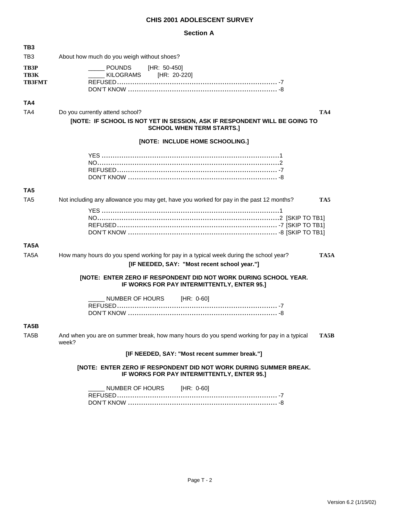#### **Section A**

| TB3                                  |                                                                                                                                                          |
|--------------------------------------|----------------------------------------------------------------------------------------------------------------------------------------------------------|
| TB <sub>3</sub>                      | About how much do you weigh without shoes?                                                                                                               |
| TB3P<br><b>TB3K</b><br><b>TB3FMT</b> | <b>POUNDS</b><br>[HR: 50-450]<br><b>KILOGRAMS</b><br>[HR: 20-220]                                                                                        |
| TA4                                  |                                                                                                                                                          |
| TA4                                  | Do you currently attend school?<br>TA4<br>[NOTE: IF SCHOOL IS NOT YET IN SESSION, ASK IF RESPONDENT WILL BE GOING TO<br><b>SCHOOL WHEN TERM STARTS.]</b> |
|                                      | [NOTE: INCLUDE HOME SCHOOLING.]                                                                                                                          |
|                                      |                                                                                                                                                          |
| TA <sub>5</sub>                      |                                                                                                                                                          |
| TA5                                  | Not including any allowance you may get, have you worked for pay in the past 12 months?<br>TA5                                                           |
|                                      |                                                                                                                                                          |
| TA5A                                 |                                                                                                                                                          |
| TA <sub>5</sub> A                    | How many hours do you spend working for pay in a typical week during the school year?<br>TA5A                                                            |
|                                      | [IF NEEDED, SAY: "Most recent school year."]                                                                                                             |
|                                      | <b>[NOTE: ENTER ZERO IF RESPONDENT DID NOT WORK DURING SCHOOL YEAR.</b><br>IF WORKS FOR PAY INTERMITTENTLY, ENTER 95.]                                   |
|                                      | NUMBER OF HOURS [HR: 0-60]                                                                                                                               |
| TA5B                                 |                                                                                                                                                          |
| TA <sub>5</sub> B                    | And when you are on summer break, how many hours do you spend working for pay in a typical<br>TA5B<br>week?                                              |
|                                      | [IF NEEDED, SAY: "Most recent summer break."]                                                                                                            |
|                                      | [NOTE: ENTER ZERO IF RESPONDENT DID NOT WORK DURING SUMMER BREAK.<br>IF WORKS FOR PAY INTERMITTENTLY, ENTER 95.]                                         |
|                                      | NUMBER OF HOURS [HR: 0-60]                                                                                                                               |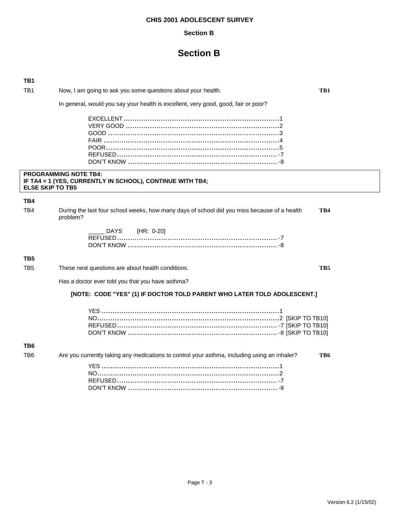#### **Section B**

## **Section B**

| TB1                     |                                                                                                         |     |
|-------------------------|---------------------------------------------------------------------------------------------------------|-----|
| TB <sub>1</sub>         | Now, I am going to ask you some questions about your health.                                            | TB1 |
|                         | In general, would you say your health is excellent, very good, good, fair or poor?                      |     |
|                         |                                                                                                         |     |
| <b>ELSE SKIP TO TB5</b> | <b>PROGRAMMING NOTE TB4:</b><br>IF TA4 = 1 (YES, CURRENTLY IN SCHOOL), CONTINUE WITH TB4;               |     |
| TB4                     |                                                                                                         |     |
| TB4                     | During the last four school weeks, how many days of school did you miss because of a health<br>problem? | TB4 |
|                         | DAYS<br>[HR: 0-20]                                                                                      |     |
| TB <sub>5</sub>         |                                                                                                         |     |
| TB <sub>5</sub>         | These next questions are about health conditions.                                                       | TB5 |
|                         | Has a doctor ever told you that you have asthma?                                                        |     |
|                         | [NOTE: CODE "YES" (1) IF DOCTOR TOLD PARENT WHO LATER TOLD ADOLESCENT.]                                 |     |
|                         |                                                                                                         |     |
| TB6                     |                                                                                                         |     |
| TB <sub>6</sub>         | Are you currently taking any medications to control your asthma, including using an inhaler?            | TB6 |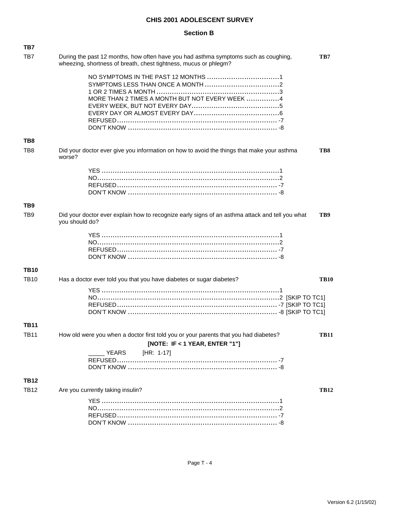#### **Section B**

| TB7             |                                                                                                                                                         |             |
|-----------------|---------------------------------------------------------------------------------------------------------------------------------------------------------|-------------|
| TB7             | During the past 12 months, how often have you had asthma symptoms such as coughing,<br>wheezing, shortness of breath, chest tightness, mucus or phlegm? | TB7         |
|                 |                                                                                                                                                         |             |
|                 |                                                                                                                                                         |             |
|                 |                                                                                                                                                         |             |
|                 | MORE THAN 2 TIMES A MONTH BUT NOT EVERY WEEK 4                                                                                                          |             |
|                 |                                                                                                                                                         |             |
|                 |                                                                                                                                                         |             |
|                 |                                                                                                                                                         |             |
| TB8             |                                                                                                                                                         |             |
| TB8             | Did your doctor ever give you information on how to avoid the things that make your asthma<br>worse?                                                    | TB8         |
|                 |                                                                                                                                                         |             |
|                 |                                                                                                                                                         |             |
|                 |                                                                                                                                                         |             |
|                 |                                                                                                                                                         |             |
| TB9             |                                                                                                                                                         |             |
| TB <sub>9</sub> | Did your doctor ever explain how to recognize early signs of an asthma attack and tell you what<br>you should do?                                       | TB9         |
|                 |                                                                                                                                                         |             |
|                 |                                                                                                                                                         |             |
|                 |                                                                                                                                                         |             |
|                 |                                                                                                                                                         |             |
| <b>TB10</b>     |                                                                                                                                                         |             |
| <b>TB10</b>     | Has a doctor ever told you that you have diabetes or sugar diabetes?                                                                                    | <b>TB10</b> |
|                 |                                                                                                                                                         |             |
|                 |                                                                                                                                                         |             |
|                 |                                                                                                                                                         |             |
|                 |                                                                                                                                                         |             |
| <b>TB11</b>     |                                                                                                                                                         |             |
| <b>TB11</b>     | How old were you when a doctor first told you or your parents that you had diabetes?                                                                    | TB11        |
|                 | [NOTE: IF < 1 YEAR, ENTER "1"]                                                                                                                          |             |
|                 | $[HR: 1-17]$<br><b>YEARS</b>                                                                                                                            |             |
|                 |                                                                                                                                                         |             |
|                 |                                                                                                                                                         |             |
| <b>TB12</b>     |                                                                                                                                                         |             |
|                 |                                                                                                                                                         |             |
| <b>TB12</b>     | Are you currently taking insulin?                                                                                                                       | <b>TB12</b> |
|                 |                                                                                                                                                         |             |
|                 |                                                                                                                                                         |             |
|                 |                                                                                                                                                         |             |
|                 |                                                                                                                                                         |             |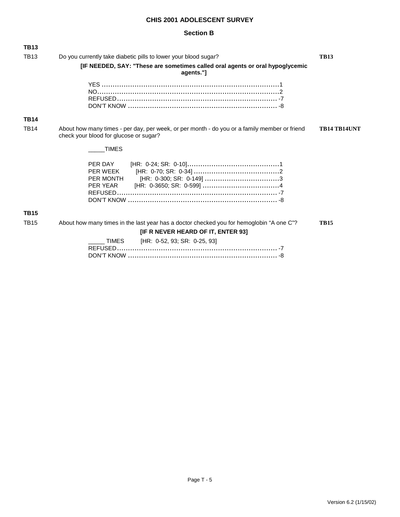### **Section B**

| <b>TB13</b> |                                                                                                                                        |                     |
|-------------|----------------------------------------------------------------------------------------------------------------------------------------|---------------------|
| <b>TB13</b> | Do you currently take diabetic pills to lower your blood sugar?                                                                        | <b>TB13</b>         |
|             | [IF NEEDED, SAY: "These are sometimes called oral agents or oral hypoglycemic<br>agents."]                                             |                     |
|             |                                                                                                                                        |                     |
| <b>TB14</b> |                                                                                                                                        |                     |
| <b>TB14</b> | About how many times - per day, per week, or per month - do you or a family member or friend<br>check your blood for glucose or sugar? | <b>TB14 TB14UNT</b> |
|             | <b>TIMES</b>                                                                                                                           |                     |
|             | PER DAY<br>PER MONTH<br>PER YEAR                                                                                                       |                     |
| <b>TB15</b> |                                                                                                                                        |                     |
| <b>TB15</b> | About how many times in the last year has a doctor checked you for hemoglobin "A one C"?                                               | <b>TB15</b>         |
|             | [IF R NEVER HEARD OF IT, ENTER 93]                                                                                                     |                     |
|             | [HR: 0-52, 93; SR: 0-25, 93]<br>TIMES                                                                                                  |                     |

DON'T KNOW .................................................................... -8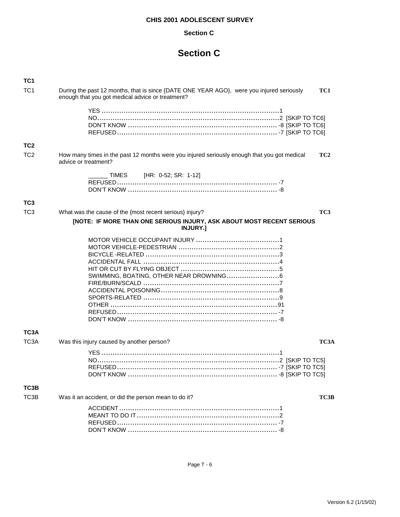### **Section C**

| TC <sub>1</sub> |                                                                                                                                              |                 |
|-----------------|----------------------------------------------------------------------------------------------------------------------------------------------|-----------------|
| TC <sub>1</sub> | During the past 12 months, that is since {DATE ONE YEAR AGO}, were you injured seriously<br>enough that you got medical advice or treatment? | TC1             |
|                 |                                                                                                                                              |                 |
| TC <sub>2</sub> |                                                                                                                                              |                 |
| T <sub>C2</sub> | How many times in the past 12 months were you injured seriously enough that you got medical<br>advice or treatment?                          | TC <sub>2</sub> |
|                 | TIMES [HR: 0-52; SR: 1-12]                                                                                                                   |                 |
| TC <sub>3</sub> |                                                                                                                                              |                 |
| TC <sub>3</sub> | What was the cause of the {most recent serious} injury?                                                                                      | TC3             |
|                 | [NOTE: IF MORE THAN ONE SERIOUS INJURY, ASK ABOUT MOST RECENT SERIOUS<br><b>INJURY.</b>                                                      |                 |
|                 |                                                                                                                                              |                 |
| TC3A            |                                                                                                                                              |                 |
| TC3A            | Was this injury caused by another person?                                                                                                    | TC3A            |
|                 |                                                                                                                                              |                 |
| TC3B            |                                                                                                                                              |                 |
| TC3B            | Was it an accident, or did the person mean to do it?                                                                                         | TC3B            |
|                 |                                                                                                                                              |                 |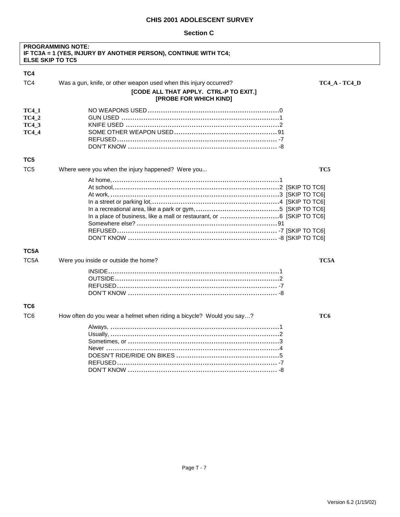|                   | <b>PROGRAMMING NOTE:</b><br>IF TC3A = 1 (YES, INJURY BY ANOTHER PERSON), CONTINUE WITH TC4;<br><b>ELSE SKIP TO TC5</b> |                      |
|-------------------|------------------------------------------------------------------------------------------------------------------------|----------------------|
| TC4               |                                                                                                                        |                      |
| TC4               | Was a gun, knife, or other weapon used when this injury occurred?                                                      | <b>TC4_A - TC4_D</b> |
|                   | [CODE ALL THAT APPLY. CTRL-P TO EXIT.]<br>[PROBE FOR WHICH KIND]                                                       |                      |
| <b>TC4 1</b>      |                                                                                                                        |                      |
| <b>TC4 2</b>      |                                                                                                                        |                      |
| <b>TC4 3</b>      |                                                                                                                        |                      |
| <b>TC4_4</b>      |                                                                                                                        |                      |
|                   |                                                                                                                        |                      |
|                   |                                                                                                                        |                      |
| TC5               |                                                                                                                        |                      |
| TC <sub>5</sub>   | Where were you when the injury happened? Were you                                                                      | TC5                  |
|                   |                                                                                                                        |                      |
|                   |                                                                                                                        |                      |
|                   |                                                                                                                        |                      |
|                   |                                                                                                                        |                      |
|                   |                                                                                                                        |                      |
|                   |                                                                                                                        |                      |
|                   |                                                                                                                        |                      |
|                   |                                                                                                                        |                      |
|                   |                                                                                                                        |                      |
| TC5A              |                                                                                                                        |                      |
| TC <sub>5</sub> A | Were you inside or outside the home?                                                                                   | TC5A                 |
|                   |                                                                                                                        |                      |
|                   |                                                                                                                        |                      |
|                   |                                                                                                                        |                      |
|                   |                                                                                                                        |                      |
| TC6               |                                                                                                                        |                      |
| TC <sub>6</sub>   | How often do you wear a helmet when riding a bicycle? Would you say?                                                   | TC6                  |
|                   |                                                                                                                        |                      |
|                   |                                                                                                                        |                      |
|                   |                                                                                                                        |                      |
|                   |                                                                                                                        |                      |
|                   |                                                                                                                        |                      |
|                   |                                                                                                                        |                      |
|                   |                                                                                                                        |                      |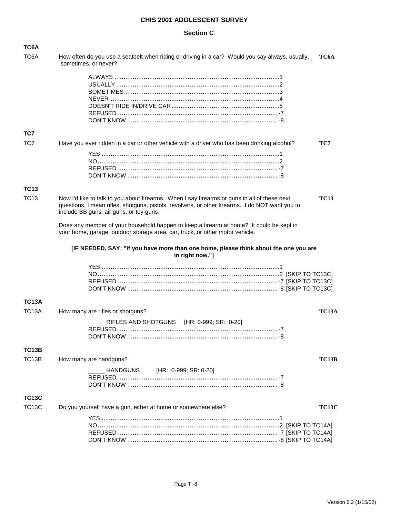| TC6A               |                                                                                                                                                                                                                                            |              |
|--------------------|--------------------------------------------------------------------------------------------------------------------------------------------------------------------------------------------------------------------------------------------|--------------|
| TC <sub>6</sub> A  | How often do you use a seatbelt when riding or driving in a car? Would you say always, usually,<br>sometimes, or never?                                                                                                                    | TC6A         |
|                    |                                                                                                                                                                                                                                            |              |
|                    |                                                                                                                                                                                                                                            |              |
|                    |                                                                                                                                                                                                                                            |              |
|                    |                                                                                                                                                                                                                                            |              |
|                    |                                                                                                                                                                                                                                            |              |
| TC7                |                                                                                                                                                                                                                                            |              |
| TC7                | Have you ever ridden in a car or other vehicle with a driver who has been drinking alcohol?                                                                                                                                                | TC7          |
|                    |                                                                                                                                                                                                                                            |              |
|                    |                                                                                                                                                                                                                                            |              |
|                    |                                                                                                                                                                                                                                            |              |
| <b>TC13</b>        |                                                                                                                                                                                                                                            |              |
| <b>TC13</b>        | Now I'd like to talk to you about firearms. When I say firearms or guns in all of these next<br>questions, I mean rifles, shotguns, pistols, revolvers, or other firearms. I do NOT want you to<br>include BB guns, air guns, or toy guns. | <b>TC13</b>  |
|                    | Does any member of your household happen to keep a firearm at home? It could be kept in<br>your home, garage, outdoor storage area, car, truck, or other motor vehicle.                                                                    |              |
|                    | [IF NEEDED, SAY: "If you have more than one home, please think about the one you are<br>in right now."]                                                                                                                                    |              |
|                    |                                                                                                                                                                                                                                            |              |
|                    |                                                                                                                                                                                                                                            |              |
|                    |                                                                                                                                                                                                                                            |              |
| <b>TC13A</b>       |                                                                                                                                                                                                                                            |              |
| TC <sub>13</sub> A | How many are rifles or shotguns?                                                                                                                                                                                                           | <b>TC13A</b> |
|                    | RIFLES AND SHOTGUNS [HR: 0-999; SR: 0-20]                                                                                                                                                                                                  |              |
|                    |                                                                                                                                                                                                                                            |              |
|                    |                                                                                                                                                                                                                                            |              |
| <b>TC13B</b>       |                                                                                                                                                                                                                                            |              |
| TC13B              | How many are handguns?                                                                                                                                                                                                                     | <b>TC13B</b> |
|                    | HANDGUNS [HR: 0-999; SR: 0-20]                                                                                                                                                                                                             |              |
|                    |                                                                                                                                                                                                                                            |              |
| <b>TC13C</b>       |                                                                                                                                                                                                                                            |              |
| <b>TC13C</b>       | Do you yourself have a gun, either at home or somewhere else?                                                                                                                                                                              | <b>TC13C</b> |
|                    |                                                                                                                                                                                                                                            |              |
|                    |                                                                                                                                                                                                                                            |              |
|                    |                                                                                                                                                                                                                                            |              |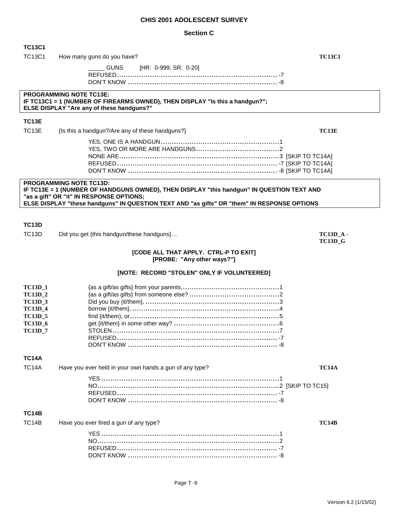| <b>TC13C1</b>                    |                                                                                                                                                                    |                |
|----------------------------------|--------------------------------------------------------------------------------------------------------------------------------------------------------------------|----------------|
| <b>TC13C1</b>                    | How many guns do you have?                                                                                                                                         | <b>TC13C1</b>  |
|                                  | <b>GUNS</b><br>[HR: 0-999; SR: 0-20]                                                                                                                               |                |
|                                  |                                                                                                                                                                    |                |
|                                  |                                                                                                                                                                    |                |
|                                  | <b>PROGRAMMING NOTE TC13E:</b><br>IF TC13C1 = 1 (NUMBER OF FIREARMS OWNED), THEN DISPLAY "Is this a handgun?";<br><b>ELSE DISPLAY "Are any of these handguns?"</b> |                |
|                                  |                                                                                                                                                                    |                |
| <b>TC13E</b>                     |                                                                                                                                                                    |                |
| TC <sub>13</sub> E               | {Is this a handgun?/Are any of these handguns?}                                                                                                                    | TC13E          |
|                                  |                                                                                                                                                                    |                |
|                                  |                                                                                                                                                                    |                |
|                                  |                                                                                                                                                                    |                |
|                                  |                                                                                                                                                                    |                |
|                                  | <b>PROGRAMMING NOTE TC13D:</b>                                                                                                                                     |                |
|                                  | IF TC13E = 1 (NUMBER OF HANDGUNS OWNED), THEN DISPLAY "this handgun" IN QUESTION TEXT AND<br>"as a gift" OR "it" IN RESPONSE OPTIONS;                              |                |
|                                  | ELSE DISPLAY "these handguns" IN QUESTION TEXT AND "as gifts" OR "them" IN RESPONSE OPTIONS                                                                        |                |
|                                  |                                                                                                                                                                    |                |
| TC <sub>13</sub> D               |                                                                                                                                                                    |                |
| TC <sub>13</sub> D               | Did you get {this handgun/these handguns}                                                                                                                          | $TC13D_A$ .    |
|                                  |                                                                                                                                                                    | <b>TC13D_G</b> |
|                                  | [CODE ALL THAT APPLY. CTRL-P TO EXIT]                                                                                                                              |                |
|                                  | [PROBE: "Any other ways?"]                                                                                                                                         |                |
|                                  | [NOTE: RECORD "STOLEN" ONLY IF VOLUNTEERED]                                                                                                                        |                |
|                                  |                                                                                                                                                                    |                |
| <b>TC13D_1</b><br><b>TC13D_2</b> |                                                                                                                                                                    |                |
| <b>TC13D_3</b>                   |                                                                                                                                                                    |                |
| <b>TC13D_4</b>                   |                                                                                                                                                                    |                |
| <b>TC13D_5</b>                   |                                                                                                                                                                    |                |
| <b>TC13D_6</b><br><b>TC13D_7</b> |                                                                                                                                                                    |                |
|                                  |                                                                                                                                                                    |                |
|                                  |                                                                                                                                                                    |                |
| <b>TC14A</b>                     |                                                                                                                                                                    |                |
| <b>TC14A</b>                     | Have you ever held in your own hands a gun of any type?                                                                                                            | <b>TC14A</b>   |
|                                  |                                                                                                                                                                    |                |
|                                  |                                                                                                                                                                    |                |
|                                  |                                                                                                                                                                    |                |
|                                  |                                                                                                                                                                    |                |
| <b>TC14B</b>                     |                                                                                                                                                                    |                |
| TC <sub>14</sub> B               | Have you ever fired a gun of any type?                                                                                                                             | TC14B          |
|                                  |                                                                                                                                                                    |                |
|                                  |                                                                                                                                                                    |                |
|                                  |                                                                                                                                                                    |                |
|                                  |                                                                                                                                                                    |                |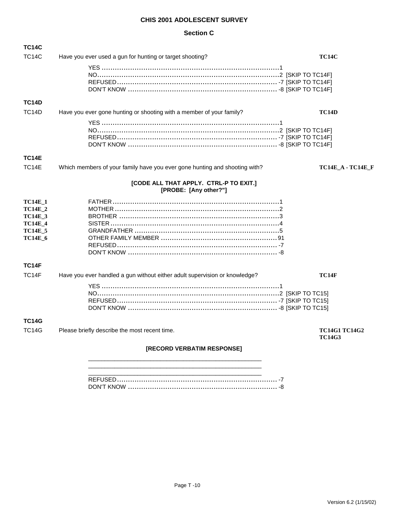| <b>TC14C</b>                                                                                             |                                                                            |                                       |
|----------------------------------------------------------------------------------------------------------|----------------------------------------------------------------------------|---------------------------------------|
| TC <sub>14</sub> C                                                                                       | Have you ever used a gun for hunting or target shooting?                   | <b>TC14C</b>                          |
|                                                                                                          |                                                                            |                                       |
| <b>TC14D</b>                                                                                             |                                                                            |                                       |
| TC <sub>14</sub> D                                                                                       | Have you ever gone hunting or shooting with a member of your family?       | TC14D                                 |
|                                                                                                          |                                                                            |                                       |
| <b>TC14E</b>                                                                                             |                                                                            |                                       |
| TC14E                                                                                                    | Which members of your family have you ever gone hunting and shooting with? | <b>TC14E_A - TC14E_F</b>              |
|                                                                                                          | [CODE ALL THAT APPLY. CTRL-P TO EXIT.]<br>[PROBE: [Any other?"]            |                                       |
| <b>TC14E_1</b><br><b>TC14E_2</b><br><b>TC14E_3</b><br><b>TC14E_4</b><br><b>TC14E_5</b><br><b>TC14E_6</b> |                                                                            |                                       |
| <b>TC14F</b>                                                                                             |                                                                            |                                       |
| TC14F                                                                                                    | Have you ever handled a gun without either adult supervision or knowledge? | <b>TC14F</b>                          |
| <b>TC14G</b><br><b>TC14G</b>                                                                             | Please briefly describe the most recent time.                              | <b>TC14G1 TC14G2</b><br><b>TC14G3</b> |
|                                                                                                          | [RECORD VERBATIM RESPONSE]                                                 |                                       |
|                                                                                                          |                                                                            |                                       |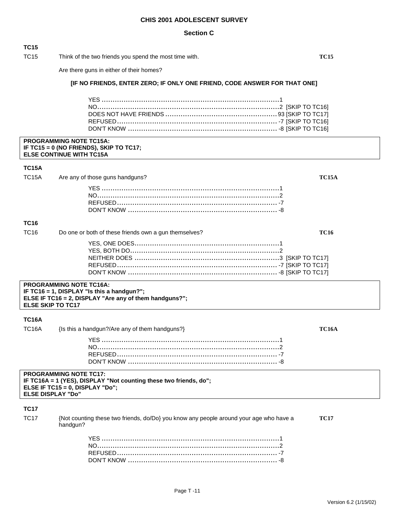#### **Section C**

#### **TC15**

TC15 Think of the two friends you spend the most time with. **TC15**

Are there guns in either of their homes?

### **[IF NO FRIENDS, ENTER ZERO; IF ONLY ONE FRIEND, CODE ANSWER FOR THAT ONE]**

#### **PROGRAMMING NOTE TC15A: IF TC15 = 0 (NO FRIENDS), SKIP TO TC17; ELSE CONTINUE WITH TC15A**

#### **TC15A**

| TC15A Are any of those guns handguns? | ТС15А |
|---------------------------------------|-------|
|                                       |       |
|                                       |       |
|                                       |       |
|                                       |       |

### **TC16**

| TC16 | Do one or both of these friends own a gun themselves? |  |
|------|-------------------------------------------------------|--|
|      |                                                       |  |
|      |                                                       |  |
|      |                                                       |  |

#### **PROGRAMMING NOTE TC16A: IF TC16 = 1, DISPLAY "Is this a handgun?"; ELSE IF TC16 = 2, DISPLAY "Are any of them handguns?"; ELSE SKIP TO TC17**

### **TC16A**

| TC16A | {Is this a handgun?/Are any of them handguns?} | <b>TC16A</b> |
|-------|------------------------------------------------|--------------|
|-------|------------------------------------------------|--------------|

| <b>PROGRAMMING NOTE TC17:</b>                                        |  |
|----------------------------------------------------------------------|--|
| IF TC16A = 1 (YES), DISPLAY "Not counting these two friends, $do$ "; |  |
| ELSE IF $TC15 = 0$ , DISPLAY "Do";                                   |  |
| <b>ELSE DISPLAY "Do"</b>                                             |  |
|                                                                      |  |

#### **TC17**

TC17 {Not counting these two friends, do/Do} you know any people around your age who have a **TC17** handgun?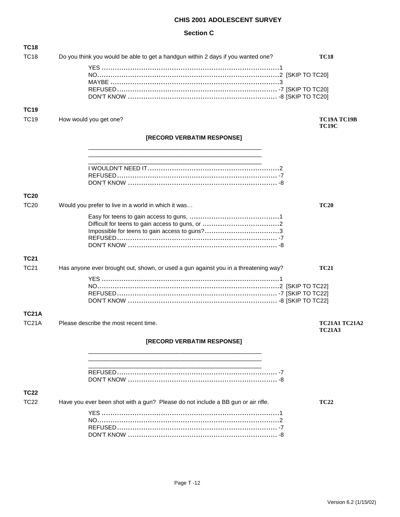| TC18         |                                                                                     |                                       |
|--------------|-------------------------------------------------------------------------------------|---------------------------------------|
| <b>TC18</b>  | Do you think you would be able to get a handgun within 2 days if you wanted one?    | <b>TC18</b>                           |
|              |                                                                                     |                                       |
|              |                                                                                     |                                       |
| <b>TC19</b>  |                                                                                     |                                       |
| <b>TC19</b>  | How would you get one?                                                              | <b>TC19A TC19B</b><br><b>TC19C</b>    |
|              | [RECORD VERBATIM RESPONSE]                                                          |                                       |
|              |                                                                                     |                                       |
|              |                                                                                     |                                       |
| <b>TC20</b>  |                                                                                     |                                       |
| <b>TC20</b>  | Would you prefer to live in a world in which it was                                 | <b>TC20</b>                           |
|              |                                                                                     |                                       |
| <b>TC21</b>  |                                                                                     |                                       |
| <b>TC21</b>  | Has anyone ever brought out, shown, or used a gun against you in a threatening way? | <b>TC21</b>                           |
|              |                                                                                     |                                       |
|              |                                                                                     |                                       |
|              |                                                                                     |                                       |
| <b>TC21A</b> |                                                                                     |                                       |
| <b>TC21A</b> | Please describe the most recent time.                                               | <b>TC21A1 TC21A2</b><br><b>TC21A3</b> |
|              | [RECORD VERBATIM RESPONSE]                                                          |                                       |
|              |                                                                                     |                                       |
|              |                                                                                     |                                       |
| <b>TC22</b>  |                                                                                     |                                       |
| <b>TC22</b>  | Have you ever been shot with a gun? Please do not include a BB gun or air rifle.    | <b>TC22</b>                           |
|              |                                                                                     |                                       |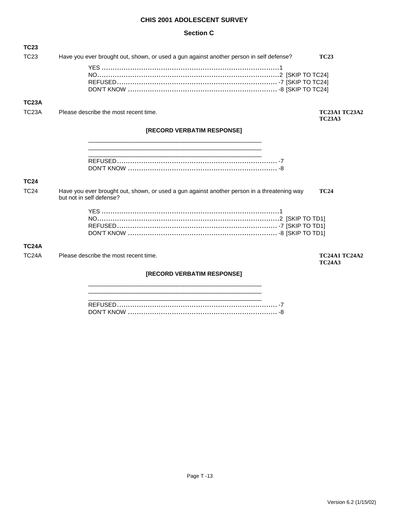### **Section C**

| <b>TC23</b>        |                                                                                                                         |                                       |
|--------------------|-------------------------------------------------------------------------------------------------------------------------|---------------------------------------|
| TC <sub>23</sub>   | Have you ever brought out, shown, or used a gun against another person in self defense?                                 | <b>TC23</b>                           |
|                    |                                                                                                                         |                                       |
|                    |                                                                                                                         |                                       |
|                    |                                                                                                                         |                                       |
| <b>TC23A</b>       |                                                                                                                         |                                       |
|                    |                                                                                                                         |                                       |
| TC <sub>23</sub> A | Please describe the most recent time.                                                                                   | <b>TC23A1 TC23A2</b><br><b>TC23A3</b> |
|                    | <b>[RECORD VERBATIM RESPONSE]</b>                                                                                       |                                       |
|                    |                                                                                                                         |                                       |
|                    |                                                                                                                         |                                       |
|                    |                                                                                                                         |                                       |
|                    |                                                                                                                         |                                       |
| <b>TC24</b>        |                                                                                                                         |                                       |
| <b>TC24</b>        | Have you ever brought out, shown, or used a gun against another person in a threatening way<br>but not in self defense? | <b>TC24</b>                           |
|                    |                                                                                                                         |                                       |
|                    |                                                                                                                         |                                       |
|                    |                                                                                                                         |                                       |
|                    |                                                                                                                         |                                       |
| <b>TC24A</b>       |                                                                                                                         |                                       |
| TC <sub>24</sub> A | Please describe the most recent time.                                                                                   | <b>TC24A1 TC24A2</b><br><b>TC24A3</b> |
|                    | <b>[RECORD VERBATIM RESPONSE]</b>                                                                                       |                                       |

\_\_\_\_\_\_\_\_\_\_\_\_\_\_\_\_\_\_\_\_\_\_\_\_\_\_\_\_\_\_\_\_\_\_\_\_\_\_\_\_\_\_\_\_\_\_\_\_\_\_\_\_\_ \_\_\_\_\_\_\_\_\_\_\_\_\_\_\_\_\_\_\_\_\_\_\_\_\_\_\_\_\_\_\_\_\_\_\_\_\_\_\_\_\_\_\_\_\_\_\_\_\_\_\_\_\_

\_\_\_\_\_\_\_\_\_\_\_\_\_\_\_\_\_\_\_\_\_\_\_\_\_\_\_\_\_\_\_\_\_\_\_\_\_\_\_\_\_\_\_\_\_\_\_\_\_\_\_\_\_ REFUSED......................................................................... -7 DON'T KNOW .................................................................... -8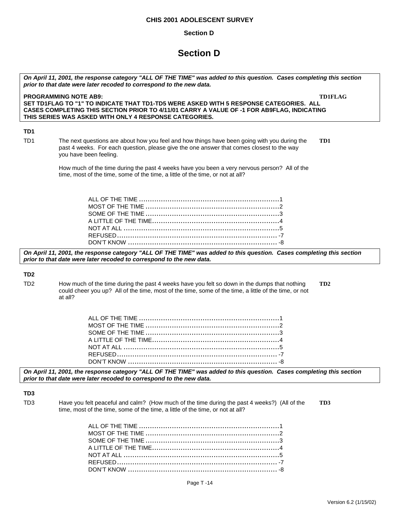#### **Section D**

## **Section D**

| On April 11, 2001, the response category "ALL OF THE TIME" was added to this question. Cases completing this section<br>prior to that date were later recoded to correspond to the new data. |                                                                                                                                                                                                                                                |  |  |
|----------------------------------------------------------------------------------------------------------------------------------------------------------------------------------------------|------------------------------------------------------------------------------------------------------------------------------------------------------------------------------------------------------------------------------------------------|--|--|
|                                                                                                                                                                                              | <b>PROGRAMMING NOTE AB9:</b><br><b>TD1FLAG</b>                                                                                                                                                                                                 |  |  |
|                                                                                                                                                                                              | SET TD1FLAG TO "1" TO INDICATE THAT TD1-TD5 WERE ASKED WITH 5 RESPONSE CATEGORIES. ALL<br>CASES COMPLETING THIS SECTION PRIOR TO 4/11/01 CARRY A VALUE OF -1 FOR AB9FLAG, INDICATING<br>THIS SERIES WAS ASKED WITH ONLY 4 RESPONSE CATEGORIES. |  |  |
| TD <sub>1</sub>                                                                                                                                                                              |                                                                                                                                                                                                                                                |  |  |
| TD <sub>1</sub>                                                                                                                                                                              | The next questions are about how you feel and how things have been going with you during the<br>TD1<br>past 4 weeks. For each question, please give the one answer that comes closest to the way<br>you have been feeling.                     |  |  |
|                                                                                                                                                                                              | How much of the time during the past 4 weeks have you been a very nervous person? All of the<br>time, most of the time, some of the time, a little of the time, or not at all?                                                                 |  |  |
|                                                                                                                                                                                              |                                                                                                                                                                                                                                                |  |  |
|                                                                                                                                                                                              | On April 11, 2001, the response category "ALL OF THE TIME" was added to this question. Cases completing this section<br>prior to that date were later recoded to correspond to the new data.                                                   |  |  |
| TD <sub>2</sub>                                                                                                                                                                              |                                                                                                                                                                                                                                                |  |  |
| TD <sub>2</sub>                                                                                                                                                                              | How much of the time during the past 4 weeks have you felt so down in the dumps that nothing<br>TD <sub>2</sub><br>could cheer you up? All of the time, most of the time, some of the time, a little of the time, or not<br>at all?            |  |  |
|                                                                                                                                                                                              |                                                                                                                                                                                                                                                |  |  |
|                                                                                                                                                                                              | On April 11, 2001, the response category "ALL OF THE TIME" was added to this question. Cases completing this section<br>prior to that date were later recoded to correspond to the new data.                                                   |  |  |
| TD <sub>3</sub>                                                                                                                                                                              |                                                                                                                                                                                                                                                |  |  |
| TD <sub>3</sub>                                                                                                                                                                              | Have you felt peaceful and calm? (How much of the time during the past 4 weeks?) (All of the<br>TD3<br>time, most of the time, some of the time, a little of the time, or not at all?                                                          |  |  |
|                                                                                                                                                                                              |                                                                                                                                                                                                                                                |  |  |

A LITTLE OF THE TIME..........................................................4 NOT AT ALL .......................................................................5 REFUSED......................................................................... -7 DON'T KNOW .................................................................... -8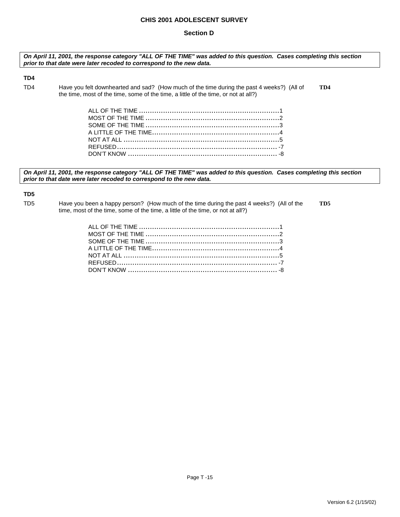#### **Section D**

*On April 11, 2001, the response category "ALL OF THE TIME" was added to this question. Cases completing this section prior to that date were later recoded to correspond to the new data.* 

#### **TD4**

TD4 Have you felt downhearted and sad? (How much of the time during the past 4 weeks?) (All of **TD4**  the time, most of the time, some of the time, a little of the time, or not at all?)

*On April 11, 2001, the response category "ALL OF THE TIME" was added to this question. Cases completing this section prior to that date were later recoded to correspond to the new data.* 

### **TD5**

TD5 Have you been a happy person? (How much of the time during the past 4 weeks?) (All of the **TD5**  time, most of the time, some of the time, a little of the time, or not at all?)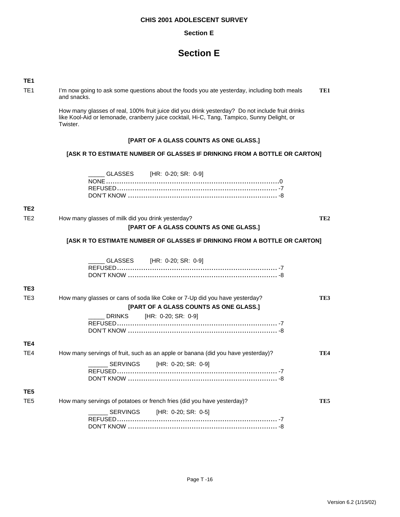#### **Section E**

## **Section E**

| ×. |
|----|
|    |
|    |

TE1 I'm now going to ask some questions about the foods you ate yesterday, including both meals **TE1**  and snacks.

> How many glasses of real, 100% fruit juice did you drink yesterday? Do not include fruit drinks like Kool-Aid or lemonade, cranberry juice cocktail, Hi-C, Tang, Tampico, Sunny Delight, or Twister.

#### **[PART OF A GLASS COUNTS AS ONE GLASS.]**

#### **[ASK R TO ESTIMATE NUMBER OF GLASSES IF DRINKING FROM A BOTTLE OR CARTON]**

\_\_\_\_\_ GLASSES [HR: 0-20; SR: 0-9]

#### **TE2**

TE2 How many glasses of milk did you drink yesterday? **TE2 [PART OF A GLASS COUNTS AS ONE GLASS.]**

#### **[ASK R TO ESTIMATE NUMBER OF GLASSES IF DRINKING FROM A BOTTLE OR CARTON]**

|                 | GLASSES [HR: 0-20; SR: 0-9]                                                      |     |
|-----------------|----------------------------------------------------------------------------------|-----|
| TE <sub>3</sub> |                                                                                  |     |
| TE <sub>3</sub> | How many glasses or cans of soda like Coke or 7-Up did you have yesterday?       | TE3 |
|                 | [PART OF A GLASS COUNTS AS ONE GLASS.]                                           |     |
|                 | DRINKS [HR: 0-20; SR: 0-9]                                                       |     |
| TE4             |                                                                                  |     |
| TE4             | How many servings of fruit, such as an apple or banana (did you have yesterday)? | TE4 |
|                 | SERVINGS [HR: 0-20; SR: 0-9]                                                     |     |
| TE <sub>5</sub> |                                                                                  |     |
| TE <sub>5</sub> | How many servings of potatoes or french fries (did you have yesterday)?          | TE5 |
|                 | SERVINGS [HR: 0-20; SR: 0-5]                                                     |     |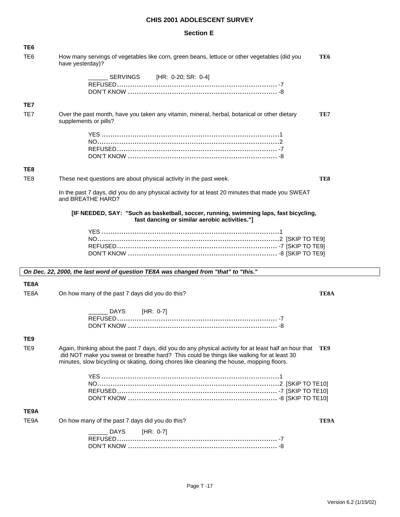| TE <sub>6</sub> |                                                                                                                                                                                                                                                                                                      |                 |
|-----------------|------------------------------------------------------------------------------------------------------------------------------------------------------------------------------------------------------------------------------------------------------------------------------------------------------|-----------------|
| TE6             | How many servings of vegetables like corn, green beans, lettuce or other vegetables (did you<br>have yesterday)?                                                                                                                                                                                     | TE <sub>6</sub> |
|                 | SERVINGS [HR: 0-20; SR: 0-4]                                                                                                                                                                                                                                                                         |                 |
| TE7             |                                                                                                                                                                                                                                                                                                      |                 |
| TE7             | Over the past month, have you taken any vitamin, mineral, herbal, botanical or other dietary<br>supplements or pills?                                                                                                                                                                                | TE7             |
|                 |                                                                                                                                                                                                                                                                                                      |                 |
| TE8             |                                                                                                                                                                                                                                                                                                      |                 |
| TE <sub>8</sub> | These next questions are about physical activity in the past week.                                                                                                                                                                                                                                   | TE8             |
|                 | In the past 7 days, did you do any physical activity for at least 20 minutes that made you SWEAT<br>and BREATHE HARD?                                                                                                                                                                                |                 |
|                 | [IF NEEDED, SAY: "Such as basketball, soccer, running, swimming laps, fast bicycling,<br>fast dancing or similar aerobic activities."]                                                                                                                                                               |                 |
|                 |                                                                                                                                                                                                                                                                                                      |                 |
|                 | On Dec. 22, 2000, the last word of question TE8A was changed from "that" to "this."                                                                                                                                                                                                                  |                 |
| TE8A            |                                                                                                                                                                                                                                                                                                      |                 |
| TE8A            |                                                                                                                                                                                                                                                                                                      |                 |
|                 | On how many of the past 7 days did you do this?                                                                                                                                                                                                                                                      | TE8A            |
|                 |                                                                                                                                                                                                                                                                                                      |                 |
|                 | DAYS<br>[HR: 0-7]                                                                                                                                                                                                                                                                                    |                 |
| TE9             |                                                                                                                                                                                                                                                                                                      |                 |
| TE <sub>9</sub> | Again, thinking about the past 7 days, did you do any physical activity for at least half an hour that TE9<br>did NOT make you sweat or breathe hard? This could be things like walking for at least 30<br>minutes, slow bicycling or skating, doing chores like cleaning the house, mopping floors. |                 |
|                 |                                                                                                                                                                                                                                                                                                      |                 |
| TE9A            |                                                                                                                                                                                                                                                                                                      |                 |
| TE9A            | On how many of the past 7 days did you do this?                                                                                                                                                                                                                                                      | TE9A            |
|                 | <b>DAYS</b><br>[HR: 0-7]                                                                                                                                                                                                                                                                             |                 |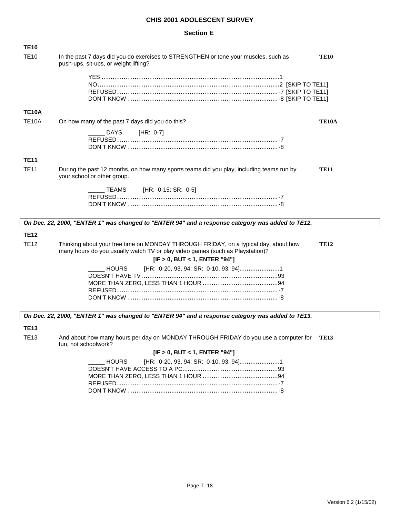#### **Section E**

| <b>TE10</b>  |                                                                                                                                                                                                                      |
|--------------|----------------------------------------------------------------------------------------------------------------------------------------------------------------------------------------------------------------------|
| <b>TE10</b>  | In the past 7 days did you do exercises to STRENGTHEN or tone your muscles, such as<br><b>TE10</b><br>push-ups, sit-ups, or weight lifting?                                                                          |
|              |                                                                                                                                                                                                                      |
| <b>TE10A</b> |                                                                                                                                                                                                                      |
| <b>TE10A</b> | On how many of the past 7 days did you do this?<br>TE <sub>10</sub> A                                                                                                                                                |
|              | <b>DAYS</b><br>[HR: $0-7$ ]                                                                                                                                                                                          |
|              |                                                                                                                                                                                                                      |
|              |                                                                                                                                                                                                                      |
| <b>TE11</b>  |                                                                                                                                                                                                                      |
| <b>TE11</b>  | During the past 12 months, on how many sports teams did you play, including teams run by<br><b>TE11</b><br>your school or other group.                                                                               |
|              | TEAMS [HR: 0-15; SR: 0-5]                                                                                                                                                                                            |
|              |                                                                                                                                                                                                                      |
|              |                                                                                                                                                                                                                      |
|              | On Dec. 22, 2000, "ENTER 1" was changed to "ENTER 94" and a response category was added to TE12.                                                                                                                     |
| <b>TE12</b>  |                                                                                                                                                                                                                      |
| <b>TE12</b>  | Thinking about your free time on MONDAY THROUGH FRIDAY, on a typical day, about how<br><b>TE12</b><br>many hours do you usually watch TV or play video games (such as Playstation)?<br>[IF > 0, BUT < 1, ENTER "94"] |
|              | [HR: 0-20, 93, 94; SR: 0-10, 93, 94]1<br><b>HOURS</b>                                                                                                                                                                |

#### *On Dec. 22, 2000, "ENTER 1" was changed to "ENTER 94" and a response category was added to TE13.*

#### **TE13**

TE13 And about how many hours per day on MONDAY THROUGH FRIDAY do you use a computer for **TE13**  fun, not schoolwork?

#### **[IF > 0, BUT < 1, ENTER "94"]**

| _____ HOURS [HR: 0-20, 93, 94; SR: 0-10, 93, 94]1 |  |  |
|---------------------------------------------------|--|--|
|                                                   |  |  |
|                                                   |  |  |
|                                                   |  |  |
|                                                   |  |  |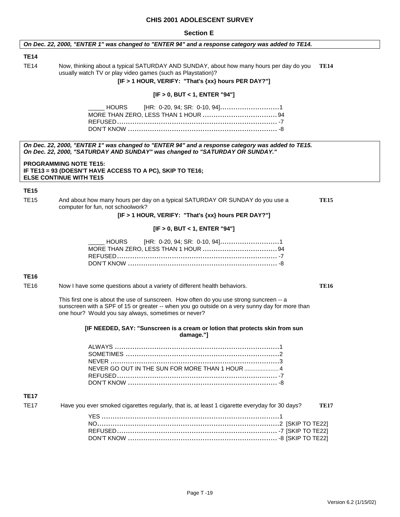#### **Section E**

#### *On Dec. 22, 2000, "ENTER 1" was changed to "ENTER 94" and a response category was added to TE14.*

#### **TE14**

TE14 Now, thinking about a typical SATURDAY AND SUNDAY, about how many hours per day do you **TE14**  usually watch TV or play video games (such as Playstation)?

**[IF > 1 HOUR, VERIFY: "That's {xx} hours PER DAY?"]**

#### **[IF > 0, BUT < 1, ENTER "94"]**

*On Dec. 22, 2000, "ENTER 1" was changed to "ENTER 94" and a response category was added to TE15. On Dec. 22, 2000, "SATURDAY AND SUNDAY" was changed to "SATURDAY OR SUNDAY."*

**PROGRAMMING NOTE TE15: IF TE13 = 93 (DOESN'T HAVE ACCESS TO A PC), SKIP TO TE16; ELSE CONTINUE WITH TE15** 

#### **TE15**

| <b>TE15</b> | And about how many hours per day on a typical SATURDAY OR SUNDAY do you use a | <b>TE15</b> |
|-------------|-------------------------------------------------------------------------------|-------------|
|             | computer for fun, not schoolwork?                                             |             |

**[IF > 1 HOUR, VERIFY: "That's {xx} hours PER DAY?"]**

#### **[IF > 0, BUT < 1, ENTER "94"]**

#### **TE16**

TE16 Now I have some questions about a variety of different health behaviors. **TE16** 

This first one is about the use of sunscreen. How often do you use strong suncreen -- a sunscreen with a SPF of 15 or greater -- when you go outside on a very sunny day for more than one hour? Would you say always, sometimes or never?

> **[IF NEEDED, SAY: "Sunscreen is a cream or lotion that protects skin from sun damage."]**

#### **TE17**

| <b>TE17</b> | Have you ever smoked cigarettes regularly, that is, at least 1 cigarette everyday for 30 days? | <b>TE17</b> |
|-------------|------------------------------------------------------------------------------------------------|-------------|
|             |                                                                                                |             |
|             |                                                                                                |             |
|             |                                                                                                |             |
|             |                                                                                                |             |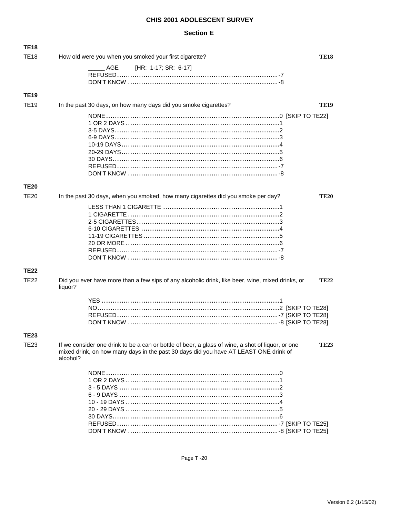| <b>TE18</b> |                                                                                                                                                                                                       |             |
|-------------|-------------------------------------------------------------------------------------------------------------------------------------------------------------------------------------------------------|-------------|
| <b>TE18</b> | How old were you when you smoked your first cigarette?                                                                                                                                                | <b>TE18</b> |
|             | [HR: 1-17; SR: 6-17]<br>AGE                                                                                                                                                                           |             |
| <b>TE19</b> |                                                                                                                                                                                                       |             |
| <b>TE19</b> | In the past 30 days, on how many days did you smoke cigarettes?                                                                                                                                       | <b>TE19</b> |
|             |                                                                                                                                                                                                       |             |
| <b>TE20</b> |                                                                                                                                                                                                       |             |
| <b>TE20</b> | In the past 30 days, when you smoked, how many cigarettes did you smoke per day?                                                                                                                      | <b>TE20</b> |
|             |                                                                                                                                                                                                       |             |
| <b>TE22</b> |                                                                                                                                                                                                       |             |
| <b>TE22</b> | Did you ever have more than a few sips of any alcoholic drink, like beer, wine, mixed drinks, or<br>liquor?                                                                                           | <b>TE22</b> |
|             |                                                                                                                                                                                                       |             |
| <b>TE23</b> |                                                                                                                                                                                                       |             |
| TE23        | If we consider one drink to be a can or bottle of beer, a glass of wine, a shot of liquor, or one<br>mixed drink, on how many days in the past 30 days did you have AT LEAST ONE drink of<br>alcohol? | <b>TE23</b> |
|             |                                                                                                                                                                                                       |             |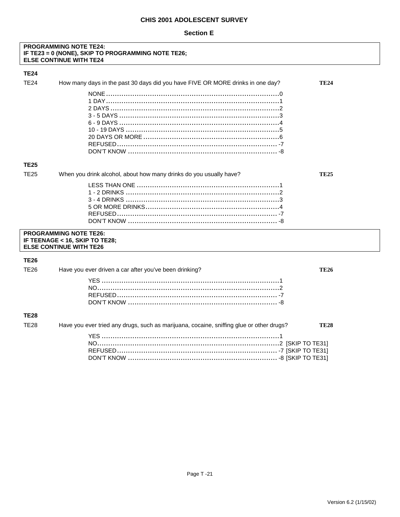#### **Section E**

## **PROGRAMMING NOTE TE24:** IF TE23 = 0 (NONE), SKIP TO PROGRAMMING NOTE TE26;<br>ELSE CONTINUE WITH TE24

#### **TE24**

| <b>TE24</b> | How many days in the past 30 days did you have FIVE OR MORE drinks in one day?                    | <b>TE24</b> |
|-------------|---------------------------------------------------------------------------------------------------|-------------|
|             |                                                                                                   |             |
| <b>TE25</b> |                                                                                                   |             |
| <b>TE25</b> | When you drink alcohol, about how many drinks do you usually have?                                | <b>TE25</b> |
|             |                                                                                                   |             |
|             | <b>PROGRAMMING NOTE TE26:</b><br>IF TEENAGE < 16, SKIP TO TE28;<br><b>ELSE CONTINUE WITH TE26</b> |             |
| <b>TE26</b> |                                                                                                   |             |
| <b>TE26</b> | Have you ever driven a car after you've been drinking?                                            | <b>TE26</b> |
|             |                                                                                                   |             |
| <b>TE28</b> |                                                                                                   |             |
| <b>TE28</b> | Have you ever tried any drugs, such as marijuana, cocaine, sniffing glue or other drugs?          | <b>TE28</b> |
|             |                                                                                                   |             |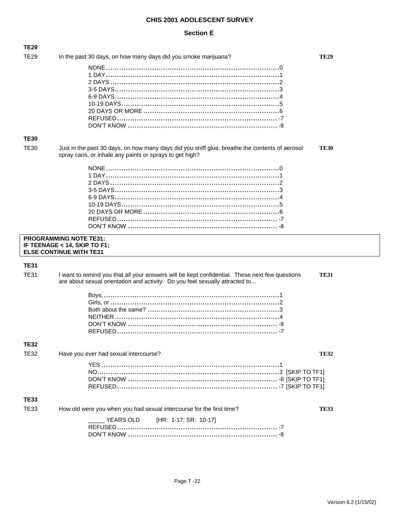| <b>TE29</b> | In the past 30 days, on how many days did you smoke marijuana?                                                                                            | <b>TE29</b> |
|-------------|-----------------------------------------------------------------------------------------------------------------------------------------------------------|-------------|
|             |                                                                                                                                                           |             |
|             |                                                                                                                                                           |             |
|             |                                                                                                                                                           |             |
|             |                                                                                                                                                           |             |
|             |                                                                                                                                                           |             |
|             |                                                                                                                                                           |             |
|             |                                                                                                                                                           |             |
|             |                                                                                                                                                           |             |
|             |                                                                                                                                                           |             |
| <b>TE30</b> |                                                                                                                                                           |             |
| <b>TE30</b> | Just in the past 30 days, on how many days did you sniff glue, breathe the contents of aerosol<br>spray cans, or inhale any paints or sprays to get high? | <b>TE30</b> |
|             |                                                                                                                                                           |             |
|             |                                                                                                                                                           |             |
|             |                                                                                                                                                           |             |
|             |                                                                                                                                                           |             |
|             |                                                                                                                                                           |             |
|             |                                                                                                                                                           |             |
|             |                                                                                                                                                           |             |
|             |                                                                                                                                                           |             |
|             |                                                                                                                                                           |             |
|             | <b>PROGRAMMING NOTE TE31:</b>                                                                                                                             |             |
|             | IF TEENAGE < 14, SKIP TO F1;                                                                                                                              |             |
|             | <b>ELSE CONTINUE WITH TE31</b>                                                                                                                            |             |
|             |                                                                                                                                                           |             |
| <b>TE31</b> |                                                                                                                                                           |             |
|             |                                                                                                                                                           |             |
| <b>TE31</b> | I want to remind you that all your answers will be kept confidential. These next few questions                                                            | <b>TE31</b> |
|             | are about sexual orientation and activity. Do you feel sexually attracted to                                                                              |             |
|             |                                                                                                                                                           |             |
|             |                                                                                                                                                           |             |
|             |                                                                                                                                                           |             |
|             |                                                                                                                                                           |             |
|             |                                                                                                                                                           |             |
|             |                                                                                                                                                           |             |
| <b>TE32</b> |                                                                                                                                                           |             |
|             |                                                                                                                                                           |             |
| <b>TE32</b> | Have you ever had sexual intercourse?                                                                                                                     | <b>TE32</b> |
|             |                                                                                                                                                           |             |
|             |                                                                                                                                                           |             |
|             |                                                                                                                                                           |             |
|             |                                                                                                                                                           |             |
| <b>TE33</b> |                                                                                                                                                           |             |
| <b>TE33</b> | How old were you when you had sexual intercourse for the first time?                                                                                      | <b>TE33</b> |
|             |                                                                                                                                                           |             |
|             | YEARS OLD<br>[HR: 1-17; SR: 10-17]                                                                                                                        |             |
|             |                                                                                                                                                           |             |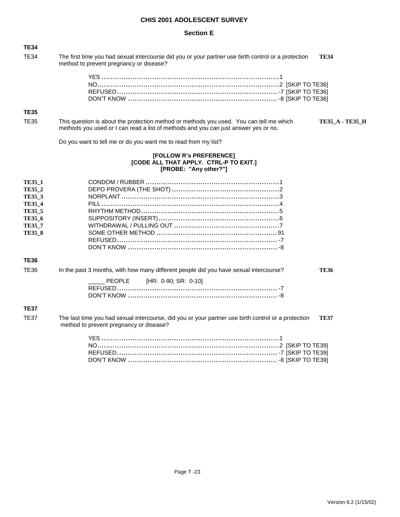| <b>TE34</b>                                                                                                            |                                                                                                                                                                                |                        |
|------------------------------------------------------------------------------------------------------------------------|--------------------------------------------------------------------------------------------------------------------------------------------------------------------------------|------------------------|
| <b>TE34</b>                                                                                                            | The first time you had sexual intercourse did you or your partner use birth control or a protection<br>method to prevent pregnancy or disease?                                 | <b>TE34</b>            |
|                                                                                                                        |                                                                                                                                                                                |                        |
| <b>TE35</b>                                                                                                            |                                                                                                                                                                                |                        |
| <b>TE35</b>                                                                                                            | This question is about the protection method or methods you used. You can tell me which<br>methods you used or I can read a list of methods and you can just answer yes or no. | <b>TE35_A - TE35_H</b> |
|                                                                                                                        | Do you want to tell me or do you want me to read from my list?                                                                                                                 |                        |
|                                                                                                                        | [FOLLOW R's PREFERENCE]<br>[CODE ALL THAT APPLY. CTRL-P TO EXIT.]<br>[PROBE: "Any other?"]                                                                                     |                        |
| <b>TE35 1</b><br>TE35 2<br><b>TE35_3</b><br><b>TE35 4</b><br><b>TE35_5</b><br>TE35 6<br><b>TE35 7</b><br><b>TE35 8</b> |                                                                                                                                                                                |                        |
| <b>TE36</b>                                                                                                            |                                                                                                                                                                                |                        |
| <b>TE36</b>                                                                                                            | In the past 3 months, with how many different people did you have sexual intercourse?<br>PEOPLE<br>[HR: 0-90; SR: 0-10]                                                        | <b>TE36</b>            |
| <b>TE37</b>                                                                                                            |                                                                                                                                                                                |                        |
| <b>TE37</b>                                                                                                            | The last time you had sexual intercourse, did you or your partner use birth control or a protection<br>method to prevent pregnancy or disease?                                 | <b>TE37</b>            |
|                                                                                                                        |                                                                                                                                                                                |                        |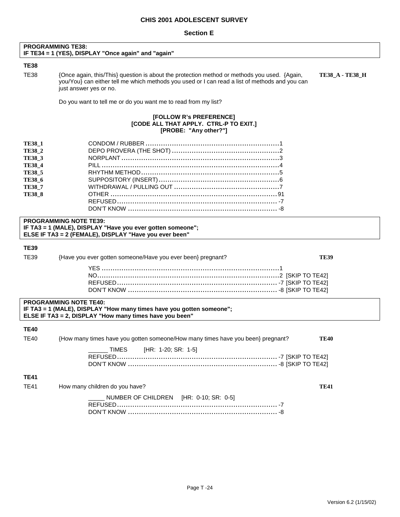|                                                                                                                                      | <b>PROGRAMMING TE38:</b><br>IF TE34 = 1 (YES), DISPLAY "Once again" and "again"                                                                                                                                          |                        |
|--------------------------------------------------------------------------------------------------------------------------------------|--------------------------------------------------------------------------------------------------------------------------------------------------------------------------------------------------------------------------|------------------------|
| <b>TE38</b>                                                                                                                          |                                                                                                                                                                                                                          |                        |
| <b>TE38</b>                                                                                                                          | {Once again, this/This} question is about the protection method or methods you used. {Again,<br>you/You} can either tell me which methods you used or I can read a list of methods and you can<br>just answer yes or no. | <b>TE38_A - TE38_H</b> |
|                                                                                                                                      | Do you want to tell me or do you want me to read from my list?                                                                                                                                                           |                        |
|                                                                                                                                      | [FOLLOW R's PREFERENCE]<br>[CODE ALL THAT APPLY. CTRL-P TO EXIT.]<br>[PROBE: "Any other?"]                                                                                                                               |                        |
| <b>TE38_1</b><br><b>TE38 2</b><br><b>TE38_3</b><br><b>TE38_4</b><br><b>TE38_5</b><br><b>TE38_6</b><br><b>TE38 7</b><br><b>TE38_8</b> | <b>PROGRAMMING NOTE TE39:</b><br>IF TA3 = 1 (MALE), DISPLAY "Have you ever gotten someone";<br>ELSE IF TA3 = 2 (FEMALE), DISPLAY "Have you ever been"                                                                    |                        |
| <b>TE39</b>                                                                                                                          |                                                                                                                                                                                                                          |                        |
| TE39                                                                                                                                 | {Have you ever gotten someone/Have you ever been} pregnant?                                                                                                                                                              | <b>TE39</b>            |
|                                                                                                                                      |                                                                                                                                                                                                                          |                        |
|                                                                                                                                      | <b>PROGRAMMING NOTE TE40:</b><br>IF TA3 = 1 (MALE), DISPLAY "How many times have you gotten someone";<br>ELSE IF TA3 = 2, DISPLAY "How many times have you been"                                                         |                        |
| <b>TE40</b>                                                                                                                          |                                                                                                                                                                                                                          |                        |
| <b>TE40</b>                                                                                                                          | {How many times have you gotten someone/How many times have you been} pregnant?                                                                                                                                          | <b>TE40</b>            |
|                                                                                                                                      | [HR: 1-20; SR: 1-5]<br><b>TIMES</b>                                                                                                                                                                                      |                        |
| <b>TE41</b>                                                                                                                          |                                                                                                                                                                                                                          |                        |
| <b>TE41</b>                                                                                                                          | How many children do you have?                                                                                                                                                                                           | <b>TE41</b>            |
|                                                                                                                                      | NUMBER OF CHILDREN [HR: 0-10; SR: 0-5]                                                                                                                                                                                   |                        |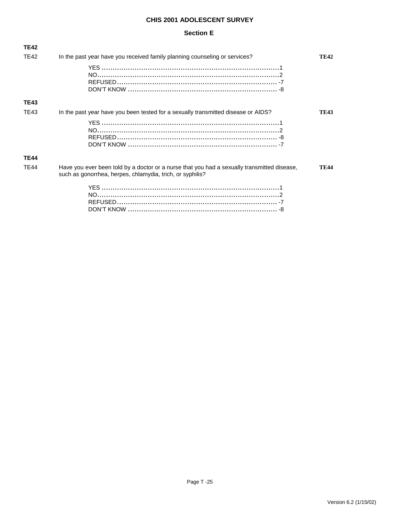| <b>TE42</b> |                                                                                                                                                          |             |
|-------------|----------------------------------------------------------------------------------------------------------------------------------------------------------|-------------|
| <b>TE42</b> | In the past year have you received family planning counseling or services?                                                                               | <b>TE42</b> |
|             |                                                                                                                                                          |             |
| <b>TE43</b> |                                                                                                                                                          |             |
| TE43        | In the past year have you been tested for a sexually transmitted disease or AIDS?                                                                        | <b>TE43</b> |
|             |                                                                                                                                                          |             |
| <b>TE44</b> |                                                                                                                                                          |             |
| <b>TE44</b> | Have you ever been told by a doctor or a nurse that you had a sexually transmitted disease,<br>such as gonorrhea, herpes, chlamydia, trich, or syphilis? | <b>TE44</b> |
|             |                                                                                                                                                          |             |
|             |                                                                                                                                                          |             |
|             |                                                                                                                                                          |             |
|             |                                                                                                                                                          |             |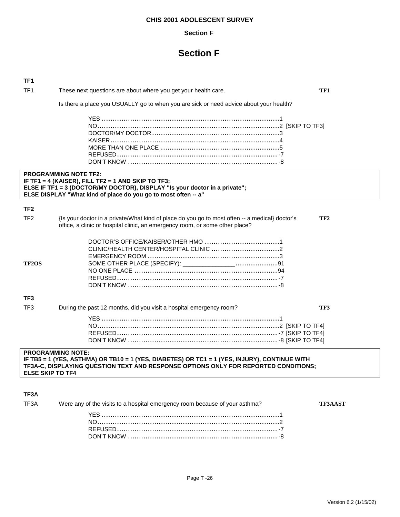#### **Section F**

## **Section F**

| TF <sub>1</sub> |                                                                                                                                                                                                                                    |                 |
|-----------------|------------------------------------------------------------------------------------------------------------------------------------------------------------------------------------------------------------------------------------|-----------------|
| TF <sub>1</sub> | These next questions are about where you get your health care.                                                                                                                                                                     | TF1             |
|                 | Is there a place you USUALLY go to when you are sick or need advice about your health?                                                                                                                                             |                 |
|                 |                                                                                                                                                                                                                                    |                 |
|                 | <b>PROGRAMMING NOTE TF2:</b><br>IF TF1 = 4 (KAISER), FILL TF2 = 1 AND SKIP TO TF3;<br>ELSE IF TF1 = 3 (DOCTOR/MY DOCTOR), DISPLAY "Is your doctor in a private";<br>ELSE DISPLAY "What kind of place do you go to most often -- a" |                 |
| TF <sub>2</sub> |                                                                                                                                                                                                                                    |                 |
| TF <sub>2</sub> | {Is your doctor in a private/What kind of place do you go to most often -- a medical} doctor's<br>office, a clinic or hospital clinic, an emergency room, or some other place?                                                     | TF <sub>2</sub> |
| <b>TF2OS</b>    |                                                                                                                                                                                                                                    |                 |
| TF <sub>3</sub> |                                                                                                                                                                                                                                    |                 |
| TF <sub>3</sub> | During the past 12 months, did you visit a hospital emergency room?                                                                                                                                                                | TF3             |
|                 |                                                                                                                                                                                                                                    |                 |
|                 | <b>PROGRAMMING NOTE:</b><br>IF TB5 = 1 (YES, ASTHMA) OR TB10 = 1 (YES, DIABETES) OR TC1 = 1 (YES, INJURY), CONTINUE WITH                                                                                                           |                 |

**TF3A-C, DISPLAYING QUESTION TEXT AND RESPONSE OPTIONS ONLY FOR REPORTED CONDITIONS; ELSE SKIP TO TF4** 

#### **TF3A**

| TF3A | Were any of the visits to a hospital emergency room because of your asthma? | TF3AAST |
|------|-----------------------------------------------------------------------------|---------|
|      |                                                                             |         |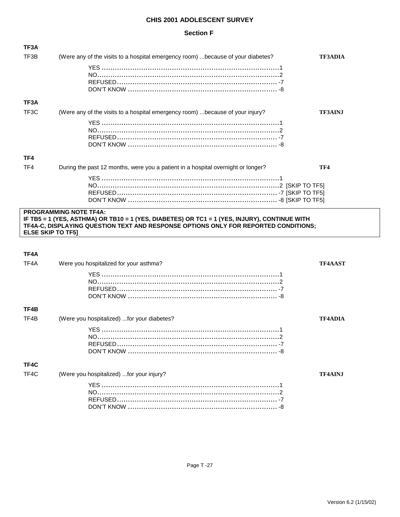### **Section F**

| TF3A                     |                                                                                                                                                                                     |                |
|--------------------------|-------------------------------------------------------------------------------------------------------------------------------------------------------------------------------------|----------------|
| TF3B                     | (Were any of the visits to a hospital emergency room)  because of your diabetes?                                                                                                    | <b>TF3ADIA</b> |
|                          |                                                                                                                                                                                     |                |
|                          |                                                                                                                                                                                     |                |
|                          |                                                                                                                                                                                     |                |
|                          |                                                                                                                                                                                     |                |
| TF3A                     |                                                                                                                                                                                     |                |
| TF <sub>3</sub> C        | (Were any of the visits to a hospital emergency room)  because of your injury?                                                                                                      | <b>TF3AINJ</b> |
|                          |                                                                                                                                                                                     |                |
|                          |                                                                                                                                                                                     |                |
|                          |                                                                                                                                                                                     |                |
| TF4                      |                                                                                                                                                                                     |                |
| TF4                      | During the past 12 months, were you a patient in a hospital overnight or longer?                                                                                                    | TF4            |
|                          |                                                                                                                                                                                     |                |
|                          |                                                                                                                                                                                     |                |
|                          |                                                                                                                                                                                     |                |
|                          | <b>PROGRAMMING NOTE TF4A:</b>                                                                                                                                                       |                |
|                          | IF TB5 = 1 (YES, ASTHMA) OR TB10 = 1 (YES, DIABETES) OR TC1 = 1 (YES, INJURY), CONTINUE WITH<br>TF4A-C, DISPLAYING QUESTION TEXT AND RESPONSE OPTIONS ONLY FOR REPORTED CONDITIONS; |                |
|                          |                                                                                                                                                                                     |                |
| <b>ELSE SKIP TO TF51</b> |                                                                                                                                                                                     |                |
|                          |                                                                                                                                                                                     |                |
| TF4A                     |                                                                                                                                                                                     |                |
| TF4A                     | Were you hospitalized for your asthma?                                                                                                                                              | <b>TF4AAST</b> |
|                          |                                                                                                                                                                                     |                |
|                          |                                                                                                                                                                                     |                |
|                          |                                                                                                                                                                                     |                |
| TF4B                     |                                                                                                                                                                                     |                |
| TF4B                     | (Were you hospitalized) for your diabetes?                                                                                                                                          | <b>TF4ADIA</b> |
|                          |                                                                                                                                                                                     |                |
|                          |                                                                                                                                                                                     |                |
|                          |                                                                                                                                                                                     |                |
|                          |                                                                                                                                                                                     |                |
| TF4C                     |                                                                                                                                                                                     |                |
| TF4C                     | (Were you hospitalized) for your injury?                                                                                                                                            | <b>TF4AINJ</b> |
|                          |                                                                                                                                                                                     |                |
|                          |                                                                                                                                                                                     |                |
|                          |                                                                                                                                                                                     |                |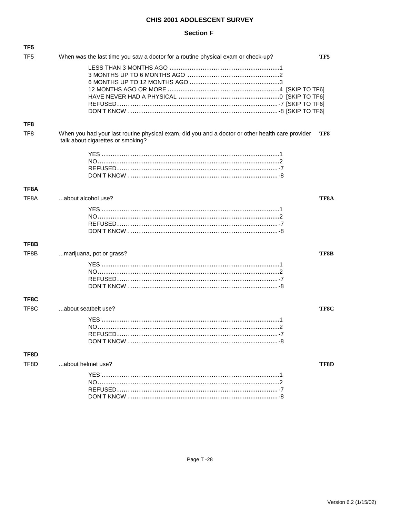### **Section F**

| TF5               |                                                                                                                                       |      |
|-------------------|---------------------------------------------------------------------------------------------------------------------------------------|------|
| TF5               | When was the last time you saw a doctor for a routine physical exam or check-up?                                                      | TF5  |
|                   |                                                                                                                                       |      |
| TF8               |                                                                                                                                       |      |
| TF <sub>8</sub>   | When you had your last routine physical exam, did you and a doctor or other health care provider<br>talk about cigarettes or smoking? | TF8  |
|                   |                                                                                                                                       |      |
| TF8A              |                                                                                                                                       |      |
| TF <sub>8</sub> A | about alcohol use?                                                                                                                    | TF8A |
|                   |                                                                                                                                       |      |
| TF8B              |                                                                                                                                       |      |
| TF8B              | marijuana, pot or grass?                                                                                                              | TF8B |
|                   |                                                                                                                                       |      |
| TF8C              |                                                                                                                                       |      |
| TF8C              | about seatbelt use?                                                                                                                   | TF8C |
|                   |                                                                                                                                       |      |
| TF8D              |                                                                                                                                       |      |
| TF8D              | about helmet use?                                                                                                                     | TF8D |
|                   |                                                                                                                                       |      |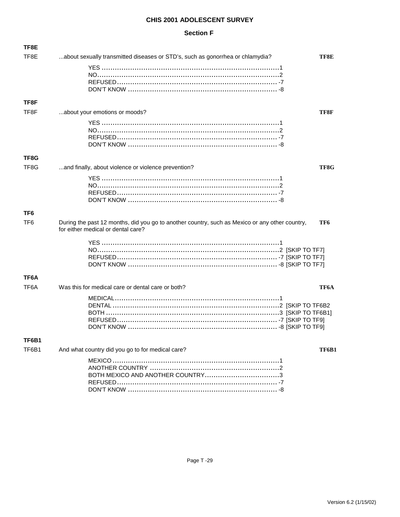### **Section F**

| TF8E            |                                                                                                                                      |       |
|-----------------|--------------------------------------------------------------------------------------------------------------------------------------|-------|
| TF8E            | about sexually transmitted diseases or STD's, such as gonorrhea or chlamydia?                                                        | TF8E  |
|                 |                                                                                                                                      |       |
|                 |                                                                                                                                      |       |
|                 |                                                                                                                                      |       |
| TF8F            |                                                                                                                                      |       |
| TF8F            | about your emotions or moods?                                                                                                        | TF8F  |
|                 |                                                                                                                                      |       |
|                 |                                                                                                                                      |       |
|                 |                                                                                                                                      |       |
| TF8G            |                                                                                                                                      |       |
| TF8G            | and finally, about violence or violence prevention?                                                                                  | TF8G  |
|                 |                                                                                                                                      |       |
|                 |                                                                                                                                      |       |
|                 |                                                                                                                                      |       |
| TF6             |                                                                                                                                      |       |
| TF <sub>6</sub> | During the past 12 months, did you go to another country, such as Mexico or any other country,<br>for either medical or dental care? | TF6   |
|                 |                                                                                                                                      |       |
|                 |                                                                                                                                      |       |
|                 |                                                                                                                                      |       |
| TF6A            |                                                                                                                                      |       |
| TF6A            | Was this for medical care or dental care or both?                                                                                    | ТҒ6А  |
|                 |                                                                                                                                      |       |
|                 |                                                                                                                                      |       |
|                 |                                                                                                                                      |       |
|                 |                                                                                                                                      |       |
| TF6B1           |                                                                                                                                      |       |
| TF6B1           | And what country did you go to for medical care?                                                                                     | TF6B1 |
|                 |                                                                                                                                      |       |
|                 |                                                                                                                                      |       |
|                 |                                                                                                                                      |       |
|                 |                                                                                                                                      |       |
|                 |                                                                                                                                      |       |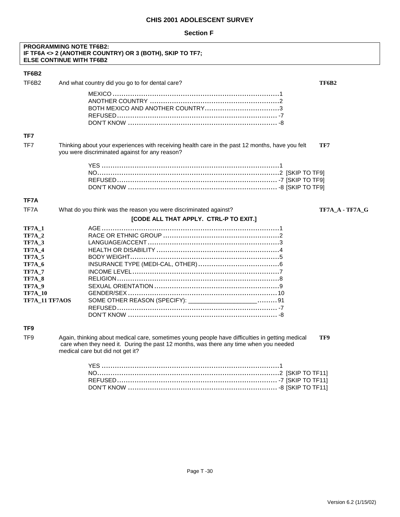#### **Section F**

#### **PROGRAMMING NOTE TF6B2: IF TF6A <> 2 (ANOTHER COUNTRY) OR 3 (BOTH), SKIP TO TF7; ELSE CONTINUE WITH TF6B2**

| TF6B2                                                                                                                                                                               |                                                                                                                                                                                          |                 |
|-------------------------------------------------------------------------------------------------------------------------------------------------------------------------------------|------------------------------------------------------------------------------------------------------------------------------------------------------------------------------------------|-----------------|
| TF6B <sub>2</sub>                                                                                                                                                                   | And what country did you go to for dental care?                                                                                                                                          | TF6B2           |
|                                                                                                                                                                                     |                                                                                                                                                                                          |                 |
| TF7                                                                                                                                                                                 |                                                                                                                                                                                          |                 |
| TF7                                                                                                                                                                                 | Thinking about your experiences with receiving health care in the past 12 months, have you felt<br>you were discriminated against for any reason?                                        | TF7             |
|                                                                                                                                                                                     |                                                                                                                                                                                          |                 |
| TF7A                                                                                                                                                                                |                                                                                                                                                                                          |                 |
| TF7A                                                                                                                                                                                | What do you think was the reason you were discriminated against?                                                                                                                         | TF7A A - TF7A G |
|                                                                                                                                                                                     | [CODE ALL THAT APPLY. CTRL-P TO EXIT.]                                                                                                                                                   |                 |
| <b>TF7A 1</b><br><b>TF7A 2</b><br>TF7A <sub>3</sub><br><b>TF7A_4</b><br>TF7A <sub>5</sub><br><b>TF7A 6</b><br><b>TF7A 7</b><br>TF7A 8<br>TF7A 9<br><b>TF7A_10</b><br>TF7A_11 TF7AOS | SOME OTHER REASON (SPECIFY): _________________________ 91                                                                                                                                |                 |
| TF <sub>9</sub>                                                                                                                                                                     |                                                                                                                                                                                          |                 |
| TF <sub>9</sub>                                                                                                                                                                     | Again, thinking about medical care, sometimes young people have difficulties in getting medical<br>care when they need it. During the past 12 months, was there any time when you needed | TF9             |

medical care but did not get it?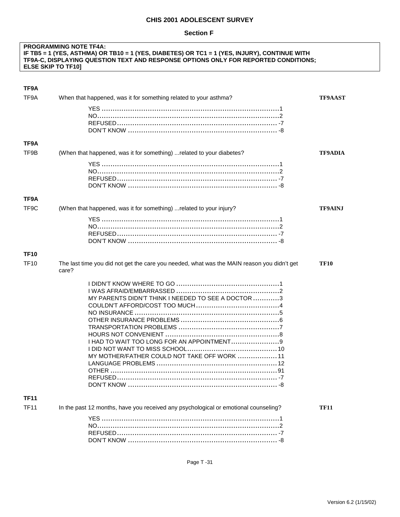#### **Section F**

#### **PROGRAMMING NOTE TF4A: IF TB5 = 1 (YES, ASTHMA) OR TB10 = 1 (YES, DIABETES) OR TC1 = 1 (YES, INJURY), CONTINUE WITH TF9A-C, DISPLAYING QUESTION TEXT AND RESPONSE OPTIONS ONLY FOR REPORTED CONDITIONS; ELSE SKIP TO TF10]**

| TF9A              |                                                                                                     |                |
|-------------------|-----------------------------------------------------------------------------------------------------|----------------|
| TF9A              | When that happened, was it for something related to your asthma?                                    | <b>TF9AAST</b> |
|                   |                                                                                                     |                |
|                   |                                                                                                     |                |
|                   |                                                                                                     |                |
|                   |                                                                                                     |                |
| TF9A              |                                                                                                     |                |
| TF9B              | (When that happened, was it for something)  related to your diabetes?                               | <b>TF9ADIA</b> |
|                   |                                                                                                     |                |
|                   |                                                                                                     |                |
|                   |                                                                                                     |                |
|                   |                                                                                                     |                |
| TF9A              |                                                                                                     |                |
| TF <sub>9</sub> C | (When that happened, was it for something)  related to your injury?                                 | <b>TF9AINJ</b> |
|                   |                                                                                                     |                |
|                   |                                                                                                     |                |
|                   |                                                                                                     |                |
|                   |                                                                                                     |                |
| <b>TF10</b>       |                                                                                                     |                |
| <b>TF10</b>       | The last time you did not get the care you needed, what was the MAIN reason you didn't get<br>care? | <b>TF10</b>    |
|                   |                                                                                                     |                |
|                   |                                                                                                     |                |
|                   | MY PARENTS DIDN'T THINK I NEEDED TO SEE A DOCTOR 3                                                  |                |
|                   |                                                                                                     |                |
|                   |                                                                                                     |                |
|                   |                                                                                                     |                |
|                   |                                                                                                     |                |
|                   |                                                                                                     |                |
|                   |                                                                                                     |                |
|                   | MY MOTHER/FATHER COULD NOT TAKE OFF WORK  11                                                        |                |
|                   |                                                                                                     |                |
|                   |                                                                                                     |                |
|                   | REFUSED.                                                                                            |                |
|                   |                                                                                                     |                |
| <b>TF11</b>       |                                                                                                     |                |
| <b>TF11</b>       | In the past 12 months, have you received any psychological or emotional counseling?                 | <b>TF11</b>    |
|                   |                                                                                                     |                |
|                   |                                                                                                     |                |
|                   |                                                                                                     |                |
|                   |                                                                                                     |                |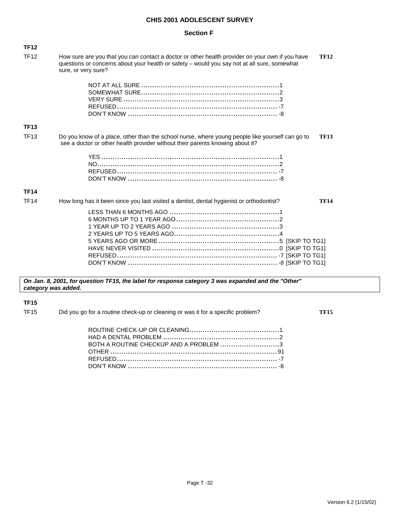#### **Section F**

| <b>TF12</b> |                                                                                                                                                                                                                                      |
|-------------|--------------------------------------------------------------------------------------------------------------------------------------------------------------------------------------------------------------------------------------|
| <b>TF12</b> | How sure are you that you can contact a doctor or other health provider on your own if you have<br><b>TF12</b><br>questions or concerns about your health or safety - would you say not at all sure, somewhat<br>sure, or very sure? |
|             |                                                                                                                                                                                                                                      |
| <b>TF13</b> |                                                                                                                                                                                                                                      |
| <b>TF13</b> | Do you know of a place, other than the school nurse, where young people like yourself can go to<br><b>TF13</b><br>see a doctor or other health provider without their parents knowing about it?                                      |
|             |                                                                                                                                                                                                                                      |
| <b>TF14</b> |                                                                                                                                                                                                                                      |
| <b>TF14</b> | <b>TF14</b><br>How long has it been since you last visited a dentist, dental hygienist or orthodontist?                                                                                                                              |
|             |                                                                                                                                                                                                                                      |

*On Jan. 8, 2001, for question TF15, the label for response category 3 was expanded and the "Other" category was added.* 

#### **TF15**

TF15 Did you go for a routine check-up or cleaning or was it for a specific problem? **TF15**

| BOTH A ROUTINE CHECKUP AND A PROBLEM 3 |  |
|----------------------------------------|--|
|                                        |  |
|                                        |  |
|                                        |  |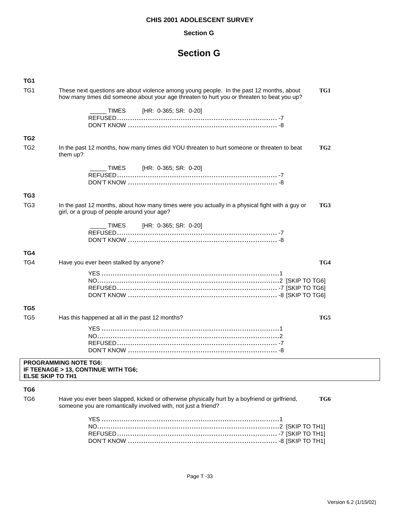#### **Section G**

## **Section G**

| TG1                     |                                                                                                                                                                                               |  |
|-------------------------|-----------------------------------------------------------------------------------------------------------------------------------------------------------------------------------------------|--|
| TG <sub>1</sub>         | These next questions are about violence among young people. In the past 12 months, about<br>TG1<br>how many times did someone about your age threaten to hurt you or threaten to beat you up? |  |
|                         | TIMES<br>[HR: 0-365; SR: 0-20]                                                                                                                                                                |  |
|                         |                                                                                                                                                                                               |  |
|                         |                                                                                                                                                                                               |  |
| TG <sub>2</sub>         |                                                                                                                                                                                               |  |
| TG <sub>2</sub>         | TG <sub>2</sub><br>In the past 12 months, how many times did YOU threaten to hurt someone or threaten to beat<br>them up?                                                                     |  |
|                         | TIMES [HR: 0-365; SR: 0-20]                                                                                                                                                                   |  |
|                         |                                                                                                                                                                                               |  |
|                         |                                                                                                                                                                                               |  |
|                         |                                                                                                                                                                                               |  |
| TG3                     |                                                                                                                                                                                               |  |
| TG <sub>3</sub>         | In the past 12 months, about how many times were you actually in a physical fight with a guy or<br>TG3<br>girl, or a group of people around your age?                                         |  |
|                         | [HR: 0-365; SR: 0-20]<br>TIMES                                                                                                                                                                |  |
|                         |                                                                                                                                                                                               |  |
|                         |                                                                                                                                                                                               |  |
|                         |                                                                                                                                                                                               |  |
| TG4                     |                                                                                                                                                                                               |  |
| TG4                     | TG4<br>Have you ever been stalked by anyone?                                                                                                                                                  |  |
|                         |                                                                                                                                                                                               |  |
|                         |                                                                                                                                                                                               |  |
|                         |                                                                                                                                                                                               |  |
|                         |                                                                                                                                                                                               |  |
| TG5                     |                                                                                                                                                                                               |  |
|                         |                                                                                                                                                                                               |  |
| TG <sub>5</sub>         | Has this happened at all in the past 12 months?<br>TG5                                                                                                                                        |  |
|                         |                                                                                                                                                                                               |  |
|                         | <b>PROGRAMMING NOTE TG6:</b>                                                                                                                                                                  |  |
| <b>ELSE SKIP TO TH1</b> | IF TEENAGE > 13, CONTINUE WITH TG6;                                                                                                                                                           |  |
|                         |                                                                                                                                                                                               |  |
| TG6                     |                                                                                                                                                                                               |  |
| TG <sub>6</sub>         | TG6<br>Have you ever been slapped, kicked or otherwise physically hurt by a boyfriend or girlfriend,<br>someone you are romantically involved with, not just a friend?                        |  |
|                         |                                                                                                                                                                                               |  |
|                         |                                                                                                                                                                                               |  |
|                         |                                                                                                                                                                                               |  |
|                         |                                                                                                                                                                                               |  |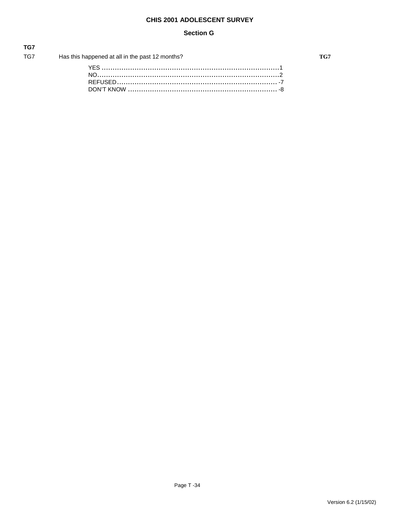#### **Section G**

| TG7          |                                                 |
|--------------|-------------------------------------------------|
| TG7 TO THE T | Has this happened at all in the past 12 months? |
|              |                                                 |
|              |                                                 |
|              |                                                 |

TG7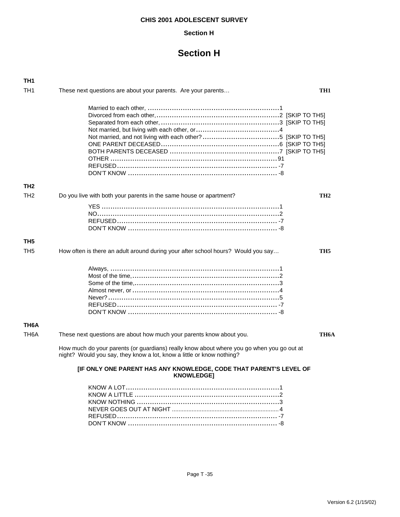#### **Section H**

## **Section H**

| TH1               |                                                                                                                                                                    |                 |
|-------------------|--------------------------------------------------------------------------------------------------------------------------------------------------------------------|-----------------|
| TH <sub>1</sub>   | These next questions are about your parents. Are your parents                                                                                                      | TH1             |
|                   |                                                                                                                                                                    |                 |
| TH <sub>2</sub>   |                                                                                                                                                                    |                 |
| TH <sub>2</sub>   | Do you live with both your parents in the same house or apartment?                                                                                                 | TH <sub>2</sub> |
|                   |                                                                                                                                                                    |                 |
| TH <sub>5</sub>   |                                                                                                                                                                    |                 |
| TH <sub>5</sub>   | How often is there an adult around during your after school hours? Would you say                                                                                   | TH5             |
|                   |                                                                                                                                                                    |                 |
| TH <sub>6</sub> A |                                                                                                                                                                    |                 |
| TH <sub>6</sub> A | These next questions are about how much your parents know about you.                                                                                               | TH6A            |
|                   | How much do your parents (or guardians) really know about where you go when you go out at<br>night? Would you say, they know a lot, know a little or know nothing? |                 |
|                   | [IF ONLY ONE PARENT HAS ANY KNOWLEDGE, CODE THAT PARENT'S LEVEL OF<br><b>KNOWLEDGE1</b>                                                                            |                 |
|                   |                                                                                                                                                                    |                 |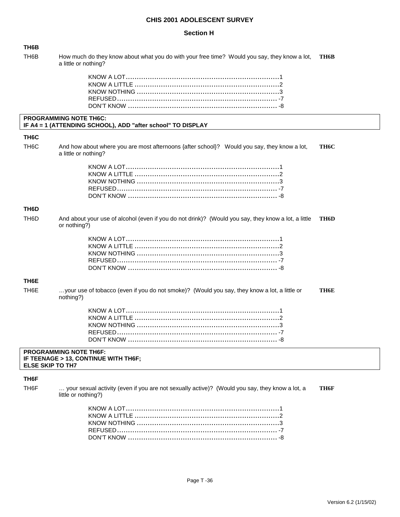#### **Section H**

| TH6B                    |                                                                                                                      |      |
|-------------------------|----------------------------------------------------------------------------------------------------------------------|------|
| TH6B                    | How much do they know about what you do with your free time? Would you say, they know a lot,<br>a little or nothing? | TH6B |
|                         |                                                                                                                      |      |
|                         | <b>PROGRAMMING NOTE TH6C:</b><br>IF A4 = 1 (ATTENDING SCHOOL), ADD "after school" TO DISPLAY                         |      |
| TH <sub>6</sub> C       |                                                                                                                      |      |
| TH <sub>6</sub> C       | And how about where you are most afternoons {after school}? Would you say, they know a lot,<br>a little or nothing?  | TH6C |
|                         |                                                                                                                      |      |
| TH6D                    |                                                                                                                      |      |
| TH6D                    | And about your use of alcohol (even if you do not drink)? (Would you say, they know a lot, a little<br>or nothing?)  | TH6D |
|                         |                                                                                                                      |      |
| TH <sub>6</sub> E       |                                                                                                                      |      |
| TH <sub>6</sub> E       | your use of tobacco (even if you do not smoke)? (Would you say, they know a lot, a little or<br>nothing?)            | TH6E |
|                         |                                                                                                                      |      |
| <b>ELSE SKIP TO TH7</b> | <b>PROGRAMMING NOTE TH6F:</b><br>IF TEENAGE > 13, CONTINUE WITH TH6F;                                                |      |
|                         |                                                                                                                      |      |

### **TH6F**

TH6F … your sexual activity (even if you are not sexually active)? (Would you say, they know a lot, a **TH6F** little or nothing?)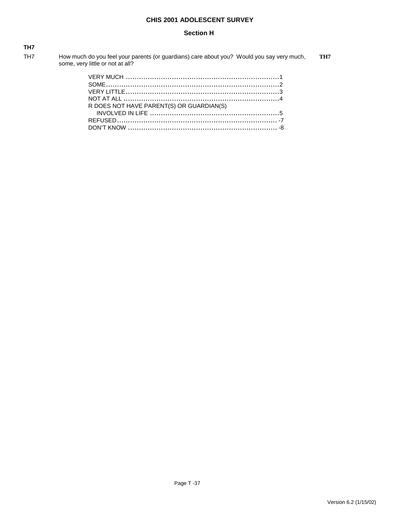#### **Section H**

| <b>TH7</b>      |                                                                                                                               |     |
|-----------------|-------------------------------------------------------------------------------------------------------------------------------|-----|
| TH <sub>7</sub> | How much do you feel your parents (or guardians) care about you? Would you say very much,<br>some, very little or not at all? | TH7 |

| R DOES NOT HAVE PARENT(S) OR GUARDIAN(S) |  |
|------------------------------------------|--|
|                                          |  |
|                                          |  |
|                                          |  |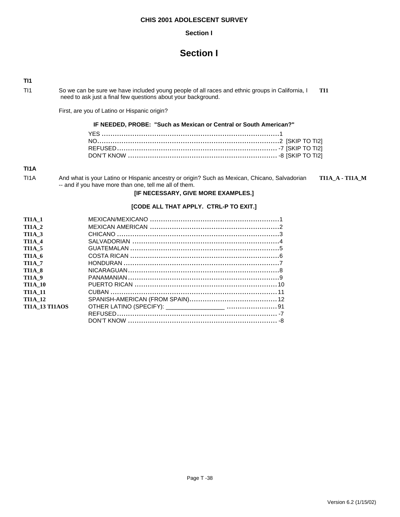#### **Section I**

## **Section I**

**TI1**

TI1 So we can be sure we have included young people of all races and ethnic groups in California, I **TI1** need to ask just a final few questions about your background.

First, are you of Latino or Hispanic origin?

#### **IF NEEDED, PROBE: "Such as Mexican or Central or South American?"**

#### **TI1A**

| TI1A | And what is your Latino or Hispanic ancestry or origin? Such as Mexican, Chicano, Salvadorian | TI1A A - TI1A M |
|------|-----------------------------------------------------------------------------------------------|-----------------|
|      | -- and if you have more than one, tell me all of them.                                        |                 |

#### **[IF NECESSARY, GIVE MORE EXAMPLES.]**

#### **[CODE ALL THAT APPLY. CTRL-P TO EXIT.]**

| <b>TI1A 1</b>         |  |
|-----------------------|--|
| <b>TI1A 2</b>         |  |
| <b>TI1A 3</b>         |  |
| <b>TI1A 4</b>         |  |
| <b>TI1A 5</b>         |  |
| TI1A 6                |  |
| <b>TI1A 7</b>         |  |
| <b>TI1A 8</b>         |  |
| <b>TI1A 9</b>         |  |
| <b>TI1A 10</b>        |  |
| <b>TI1A 11</b>        |  |
| <b>TI1A 12</b>        |  |
| <b>TI1A 13 TI1AOS</b> |  |
|                       |  |
|                       |  |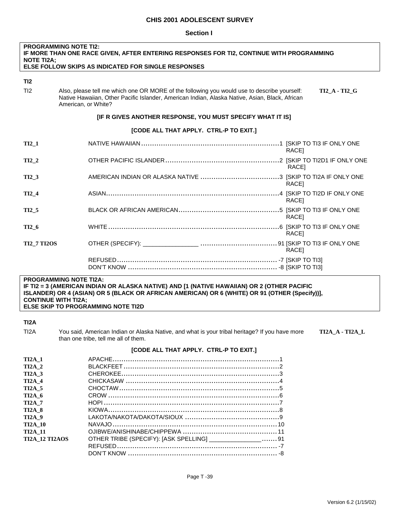#### **Section I**

| <b>PROGRAMMING NOTE TI2:</b><br>IF MORE THAN ONE RACE GIVEN, AFTER ENTERING RESPONSES FOR TI2, CONTINUE WITH PROGRAMMING<br><b>NOTE TI2A:</b> |                                                                                                                                                                                                                                              |  |  |
|-----------------------------------------------------------------------------------------------------------------------------------------------|----------------------------------------------------------------------------------------------------------------------------------------------------------------------------------------------------------------------------------------------|--|--|
|                                                                                                                                               | <b>ELSE FOLLOW SKIPS AS INDICATED FOR SINGLE RESPONSES</b>                                                                                                                                                                                   |  |  |
| TI2                                                                                                                                           |                                                                                                                                                                                                                                              |  |  |
| TI2                                                                                                                                           | Also, please tell me which one OR MORE of the following you would use to describe yourself:<br><b>TI2 A - TI2 G</b><br>Native Hawaiian, Other Pacific Islander, American Indian, Alaska Native, Asian, Black, African<br>American, or White? |  |  |
|                                                                                                                                               | [IF R GIVES ANOTHER RESPONSE, YOU MUST SPECIFY WHAT IT IS]                                                                                                                                                                                   |  |  |
|                                                                                                                                               | [CODE ALL THAT APPLY. CTRL-P TO EXIT.]                                                                                                                                                                                                       |  |  |
| $TI2_1$                                                                                                                                       | RACE1                                                                                                                                                                                                                                        |  |  |
| <b>TI2 2</b>                                                                                                                                  | RACE]                                                                                                                                                                                                                                        |  |  |
| <b>TI2 3</b>                                                                                                                                  | RACE <sub>1</sub>                                                                                                                                                                                                                            |  |  |
| TI2 4                                                                                                                                         | RACE]                                                                                                                                                                                                                                        |  |  |
| <b>TI2 5</b>                                                                                                                                  | RACE <sub>1</sub>                                                                                                                                                                                                                            |  |  |
| TI2 6                                                                                                                                         | RACE]                                                                                                                                                                                                                                        |  |  |
| <b>TI2 7 TI2OS</b>                                                                                                                            | RACE]                                                                                                                                                                                                                                        |  |  |
|                                                                                                                                               |                                                                                                                                                                                                                                              |  |  |

#### **PROGRAMMING NOTE TI2A: IF TI2 = 3 (AMERICAN INDIAN OR ALASKA NATIVE) AND [1 (NATIVE HAWAIIAN) OR 2 (OTHER PACIFIC ISLANDER) OR 4 (ASIAN) OR 5 (BLACK OR AFRICAN AMERICAN) OR 6 (WHITE) OR 91 (OTHER (Specify))], CONTINUE WITH TI2A; ELSE SKIP TO PROGRAMMING NOTE TI2D**

#### **TI2A**

TI2A You said, American Indian or Alaska Native, and what is your tribal heritage? If you have more **TI2A\_A - TI2A\_L** than one tribe, tell me all of them.

### **[CODE ALL THAT APPLY. CTRL-P TO EXIT.]**

| <b>TI2A 1</b>         |                                                           |  |
|-----------------------|-----------------------------------------------------------|--|
| $TI2A$ 2              |                                                           |  |
| $TI2A$ 3              |                                                           |  |
| $TI2A$ 4              |                                                           |  |
| $TI2A$ 5              |                                                           |  |
| $TI2A$ 6              |                                                           |  |
| <b>TI2A 7</b>         |                                                           |  |
| <b>TI2A 8</b>         |                                                           |  |
| <b>TI2A 9</b>         |                                                           |  |
| <b>TI2A 10</b>        |                                                           |  |
| <b>TI2A 11</b>        |                                                           |  |
| <b>TI2A 12 TI2AOS</b> | OTHER TRIBE (SPECIFY): [ASK SPELLING] ________________ 91 |  |
|                       |                                                           |  |
|                       |                                                           |  |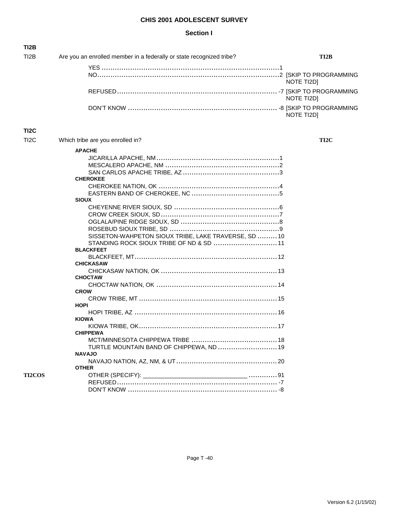#### **Section I**

| <b>TI2B</b>       |                                                                      |            |
|-------------------|----------------------------------------------------------------------|------------|
| TI2B              | Are you an enrolled member in a federally or state recognized tribe? | TI2B       |
|                   |                                                                      |            |
|                   |                                                                      | NOTE TI2D] |
|                   |                                                                      | NOTE TI2D] |
|                   |                                                                      | NOTE TI2D] |
| TI <sub>2</sub> C |                                                                      |            |
| TI <sub>2</sub> C | Which tribe are you enrolled in?                                     | TI2C       |
|                   | <b>APACHE</b>                                                        |            |
|                   |                                                                      |            |
|                   |                                                                      |            |
|                   |                                                                      |            |
|                   | <b>CHEROKEE</b>                                                      |            |
|                   |                                                                      |            |
|                   |                                                                      |            |
|                   | <b>SIOUX</b>                                                         |            |
|                   |                                                                      |            |
|                   |                                                                      |            |
|                   |                                                                      |            |
|                   |                                                                      |            |
|                   | SISSETON-WAHPETON SIOUX TRIBE, LAKE TRAVERSE, SD  10                 |            |
|                   | STANDING ROCK SIOUX TRIBE OF ND & SD  11                             |            |
|                   | <b>BLACKFEET</b>                                                     |            |
|                   |                                                                      |            |
|                   | <b>CHICKASAW</b>                                                     |            |
|                   |                                                                      |            |
|                   | <b>CHOCTAW</b>                                                       |            |
|                   |                                                                      |            |
|                   | <b>CROW</b>                                                          |            |
|                   |                                                                      |            |
|                   | <b>HOPI</b>                                                          |            |
|                   |                                                                      |            |
|                   | <b>KIOWA</b>                                                         |            |
|                   |                                                                      |            |
|                   | <b>CHIPPEWA</b>                                                      |            |
|                   |                                                                      |            |
|                   | TURTLE MOUNTAIN BAND OF CHIPPEWA, ND  19                             |            |
|                   | <b>NAVAJO</b>                                                        |            |
|                   |                                                                      |            |
|                   | <b>OTHER</b>                                                         |            |
| <b>TI2COS</b>     |                                                                      |            |
|                   |                                                                      |            |
|                   |                                                                      |            |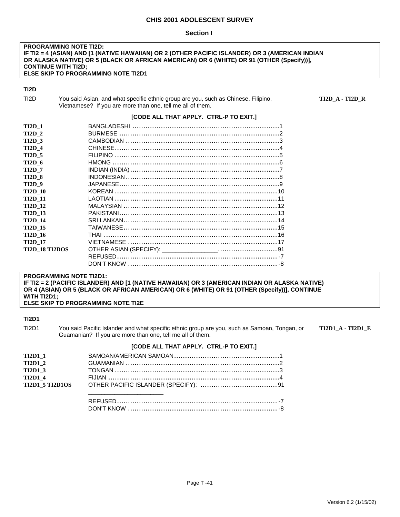#### **Section I**

#### **PROGRAMMING NOTE TI2D: IF TI2 = 4 (ASIAN) AND [1 (NATIVE HAWAIIAN) OR 2 (OTHER PACIFIC ISLANDER) OR 3 (AMERICAN INDIAN OR ALASKA NATIVE) OR 5 (BLACK OR AFRICAN AMERICAN) OR 6 (WHITE) OR 91 (OTHER (Specify))], CONTINUE WITH TI2D; ELSE SKIP TO PROGRAMMING NOTE TI2D1**

#### **TI2D**

| T <sub>12</sub> D | You said Asian, and what specific ethnic group are you, such as Chinese, Filipino, |
|-------------------|------------------------------------------------------------------------------------|
|                   | Vietnamese? If you are more than one, tell me all of them.                         |

TI2D\_A - TI2D\_R

#### **[CODE ALL THAT APPLY. CTRL-P TO EXIT.]**

| <b>TI2D 1</b>         |  |
|-----------------------|--|
| <b>TI2D 2</b>         |  |
| <b>TI2D 3</b>         |  |
| <b>TI2D 4</b>         |  |
| <b>TI2D 5</b>         |  |
| <b>TI2D 6</b>         |  |
| <b>TI2D 7</b>         |  |
| <b>TI2D 8</b>         |  |
| <b>TI2D 9</b>         |  |
| <b>TI2D 10</b>        |  |
| <b>TI2D 11</b>        |  |
| <b>TI2D 12</b>        |  |
| <b>TI2D 13</b>        |  |
| <b>TI2D 14</b>        |  |
| <b>TI2D 15</b>        |  |
| <b>TI2D 16</b>        |  |
| <b>TI2D 17</b>        |  |
| <b>TI2D 18 TI2DOS</b> |  |
|                       |  |
|                       |  |

#### **PROGRAMMING NOTE TI2D1:**

**IF TI2 = 2 (PACIFIC ISLANDER) AND [1 (NATIVE HAWAIIAN) OR 3 (AMERICAN INDIAN OR ALASKA NATIVE) OR 4 (ASIAN) OR 5 (BLACK OR AFRICAN AMERICAN) OR 6 (WHITE) OR 91 (OTHER (Specify))], CONTINUE WITH TI2D1; ELSE SKIP TO PROGRAMMING NOTE TI2E** 

#### **TI2D1**

TI2D1 You said Pacific Islander and what specific ethnic group are you, such as Samoan, Tongan, or **TI2D1\_A - TI2D1\_E** Guamanian? If you are more than one, tell me all of them.

### **[CODE ALL THAT APPLY. CTRL-P TO EXIT.]**

| <b>TI2D1 1</b><br><b>TI2D1 2</b> |  |
|----------------------------------|--|
| <b>TI2D1 3</b>                   |  |
| <b>TI2D1 4</b>                   |  |
|                                  |  |
|                                  |  |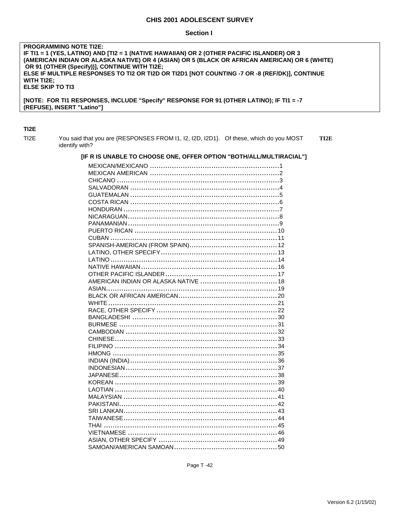#### **Section I**

#### **PROGRAMMING NOTE TI2E:** IF TI1 = 1 (YES, LATINO) AND [TI2 = 1 (NATIVE HAWAIIAN) OR 2 (OTHER PACIFIC ISLANDER) OR 3 (AMERICAN INDIAN OR ALASKA NATIVE) OR 4 (ASIAN) OR 5 (BLACK OR AFRICAN AMERICAN) OR 6 (WHITE) OR 91 (OTHER (Specify))], CONTINUE WITH TI2E; ELSE IF MULTIPLE RESPONSES TO TI2 OR TI2D OR TI2D1 [NOT COUNTING -7 OR -8 (REF/DK)], CONTINUE WITH TI2E; **ELSE SKIP TO TI3** [NOTE: FOR TI1 RESPONSES, INCLUDE "Specify" RESPONSE FOR 91 (OTHER LATINO); IF TI1 = -7 (REFUSE), INSERT "Latino"]

#### TI<sub>2</sub>E

TI<sub>2</sub>E You said that you are {RESPONSES FROM I1, I2, I2D, I2D1}. Of these, which do you MOST TI2E identify with?

#### [IF R IS UNABLE TO CHOOSE ONE, OFFER OPTION "BOTH/ALL/MULTIRACIAL"]

Page T-42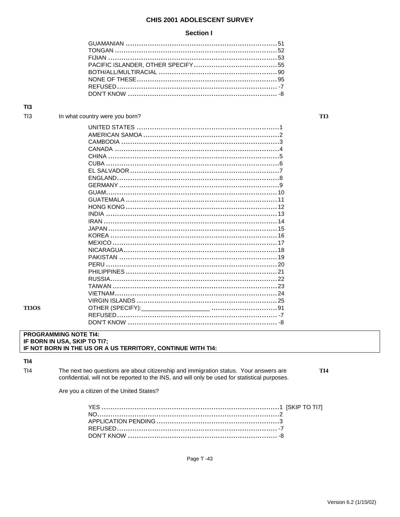#### **Section I**

#### In what country were you born?

#### **PROGRAMMING NOTE TI4:** IF BORN IN USA, SKIP TO TI7; IF NOT BORN IN THE US OR A US TERRITORY, CONTINUE WITH TI4:

 $TI4$ 

**TI3OS** 

 $TI4$ The next two questions are about citizenship and immigration status. Your answers are confidential, will not be reported to the INS, and will only be used for statistical purposes. TI<sub>4</sub>

TI3

Are you a citizen of the United States?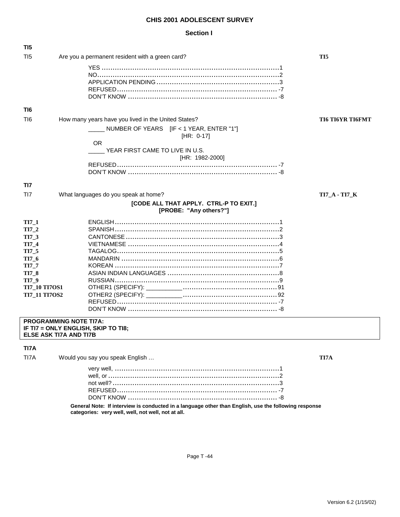#### **Section I**

| TI5                  |                                                                      |                         |
|----------------------|----------------------------------------------------------------------|-------------------------|
| T <sub>15</sub>      | Are you a permanent resident with a green card?                      | TI <sub>5</sub>         |
|                      |                                                                      |                         |
|                      |                                                                      |                         |
|                      |                                                                      |                         |
|                      |                                                                      |                         |
|                      |                                                                      |                         |
|                      |                                                                      |                         |
| TI6                  |                                                                      |                         |
| T <sub>16</sub>      | How many years have you lived in the United States?                  | <b>TI6 TI6YR TI6FMT</b> |
|                      |                                                                      |                         |
|                      | NUMBER OF YEARS [IF < 1 YEAR, ENTER "1"]<br>$[HR: 0-17]$             |                         |
|                      | <b>OR</b>                                                            |                         |
|                      | YEAR FIRST CAME TO LIVE IN U.S.                                      |                         |
|                      | [HR: 1982-2000]                                                      |                         |
|                      |                                                                      |                         |
|                      |                                                                      |                         |
|                      |                                                                      |                         |
| TI7                  |                                                                      |                         |
| T <sub>17</sub>      | What languages do you speak at home?                                 | <b>TI7_A - TI7_K</b>    |
|                      | [CODE ALL THAT APPLY. CTRL-P TO EXIT.]<br>[PROBE: "Any others?"]     |                         |
|                      |                                                                      |                         |
| $TI7_1$              |                                                                      |                         |
| $TI7_2$              |                                                                      |                         |
| TI7_3                |                                                                      |                         |
| TI7_4                |                                                                      |                         |
| TI7_5                |                                                                      |                         |
| TI7_6                |                                                                      |                         |
| TI7_7                |                                                                      |                         |
| <b>TI7_8</b>         |                                                                      |                         |
| TI7_9                |                                                                      |                         |
| <b>TI7_10 TI7OS1</b> |                                                                      |                         |
| <b>TI7 11 TI7OS2</b> |                                                                      |                         |
|                      |                                                                      |                         |
|                      |                                                                      |                         |
|                      |                                                                      |                         |
|                      | <b>PROGRAMMING NOTE TITA:</b><br>IE TIZ – ONI V ENGLISH SKID TO TIS. |                         |

**IF TI7 = ONLY ENGLISH, SKIP TO TI8; ELSE ASK TI7A AND TI7B** 

### **TI7A**

TI7A Would you say you speak English … **TI7A** very well, ...........................................................................1 well, or ..............................................................................2 not well? ............................................................................3

**General Note: If interview is conducted in a language other than English, use the following response categories: very well, well, not well, not at all.** 

REFUSED......................................................................... -7 DON'T KNOW .................................................................... -8